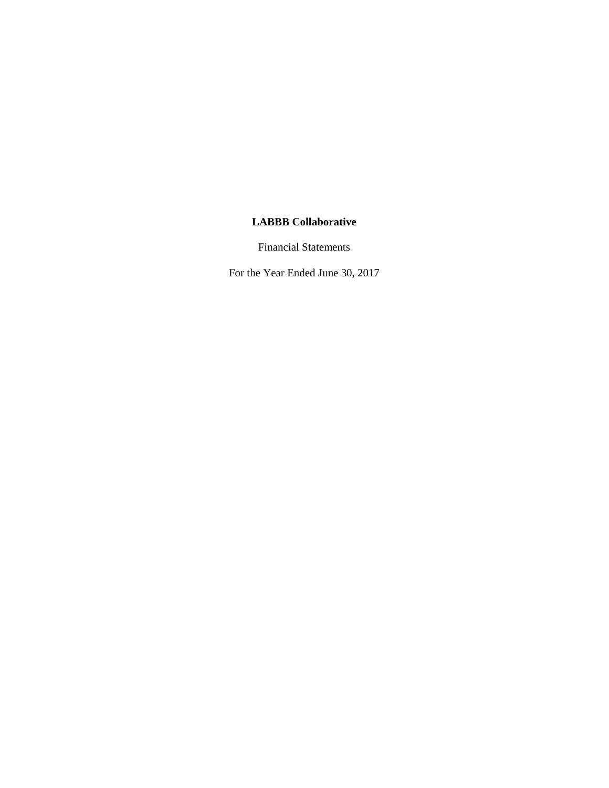Financial Statements

For the Year Ended June 30, 2017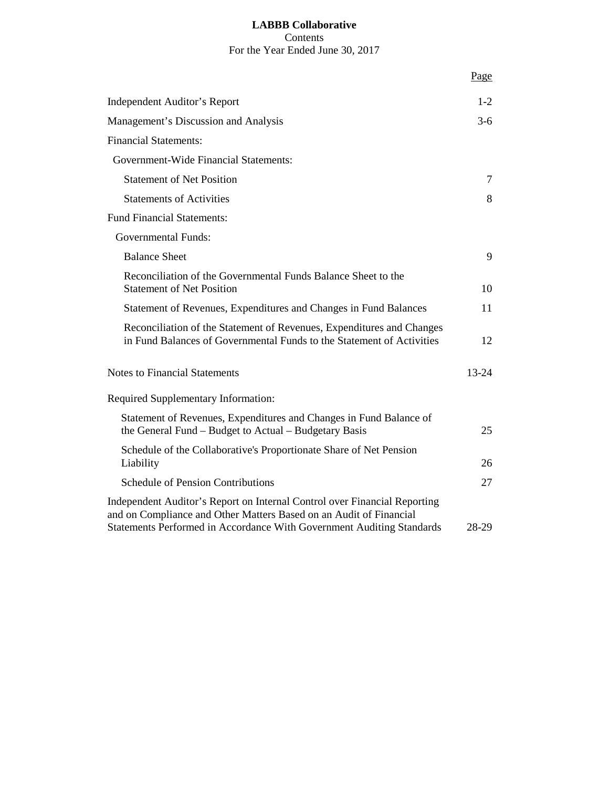# **LABBB Collaborative** Contents For the Year Ended June 30, 2017

|                                                                                                                                                                                                                          | Page      |
|--------------------------------------------------------------------------------------------------------------------------------------------------------------------------------------------------------------------------|-----------|
| Independent Auditor's Report                                                                                                                                                                                             | $1-2$     |
| Management's Discussion and Analysis                                                                                                                                                                                     | $3-6$     |
| <b>Financial Statements:</b>                                                                                                                                                                                             |           |
| Government-Wide Financial Statements:                                                                                                                                                                                    |           |
| <b>Statement of Net Position</b>                                                                                                                                                                                         | 7         |
| <b>Statements of Activities</b>                                                                                                                                                                                          | 8         |
| <b>Fund Financial Statements:</b>                                                                                                                                                                                        |           |
| <b>Governmental Funds:</b>                                                                                                                                                                                               |           |
| <b>Balance Sheet</b>                                                                                                                                                                                                     | 9         |
| Reconciliation of the Governmental Funds Balance Sheet to the<br><b>Statement of Net Position</b>                                                                                                                        | 10        |
| Statement of Revenues, Expenditures and Changes in Fund Balances                                                                                                                                                         | 11        |
| Reconciliation of the Statement of Revenues, Expenditures and Changes<br>in Fund Balances of Governmental Funds to the Statement of Activities                                                                           | 12        |
| <b>Notes to Financial Statements</b>                                                                                                                                                                                     | $13 - 24$ |
| Required Supplementary Information:                                                                                                                                                                                      |           |
| Statement of Revenues, Expenditures and Changes in Fund Balance of<br>the General Fund – Budget to Actual – Budgetary Basis                                                                                              | 25        |
| Schedule of the Collaborative's Proportionate Share of Net Pension<br>Liability                                                                                                                                          | 26        |
| <b>Schedule of Pension Contributions</b>                                                                                                                                                                                 | 27        |
| Independent Auditor's Report on Internal Control over Financial Reporting<br>and on Compliance and Other Matters Based on an Audit of Financial<br>Statements Performed in Accordance With Government Auditing Standards | 28-29     |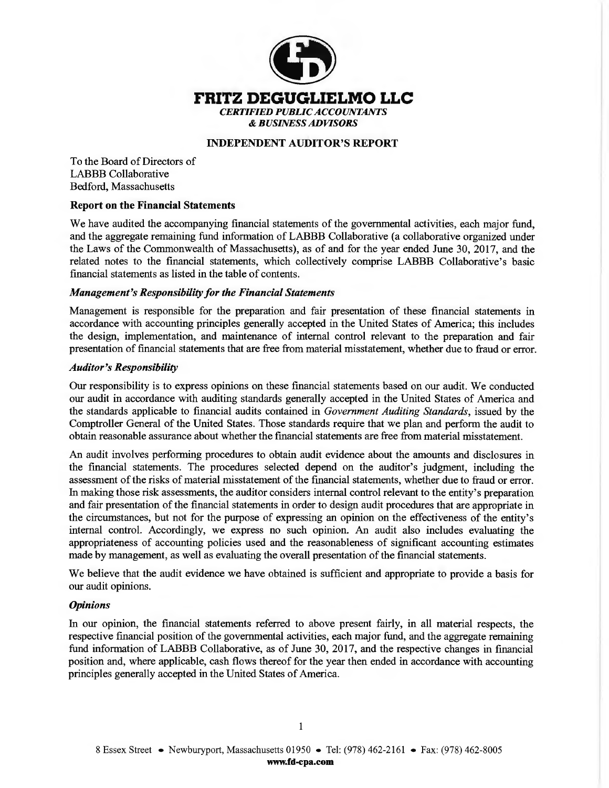

### **INDEPENDENT AUDITOR'S REPORT**

To the Board of Directors of LABBB Collaborative Bedford, Massachusetts

#### **Report on the Financial Statements**

We have audited the accompanying financial statements of the governmental activities, each major fund, and the aggregate remaining fund information of LABBB Collaborative ( a collaborative organized under the Laws of the Commonwealth of Massachusetts), as of and for the year ended June 30, 2017, and the related notes to the financial statements, which collectively comprise LABBB Collaborative's basic financial statements as listed in the table of contents.

#### *Management's Responsibility for the Financial Statements*

Management is responsible for the preparation and fair presentation of these financial statements in accordance with accounting principles generally accepted in the United States of America; this includes the design, implementation, and maintenance of internal control relevant to the preparation and fair presentation of financial statements that are free from material misstatement, whether due to fraud or error.

#### *Auditor's Responsibility*

Our responsibility is to express opinions on these financial statements based on our audit. We conducted our audit in accordance with auditing standards generally accepted in the United States of America and the standards applicable to financial audits contained in *Government Auditing Standards,* issued by the Comptroller General of the United States. Those standards require that we plan and perform the audit to obtain reasonable assurance about whether the financial statements are free from material misstatement.

An audit involves performing procedures to obtain audit evidence about the amounts and disclosures in the financial statements. The procedures selected depend on the auditor's judgment, including the assessment of the risks of material misstatement of the financial statements, whether due to fraud or error. In making those risk assessments, the auditor considers internal control relevant to the entity's preparation and fair presentation of the financial statements in order to design audit procedures that are appropriate in the circumstances, but not for the purpose of expressing an opinion on the effectiveness of the entity's internal control. Accordingly, we express no such opinion. An audit also includes evaluating the appropriateness of accounting policies used and the reasonableness of significant accounting estimates made by management, as well as evaluating the overall presentation of the financial statements.

We believe that the audit evidence we have obtained is sufficient and appropriate to provide a basis for our audit opinions.

#### *Opinions*

In our opinion, the financial statements referred to above present fairly, in all material respects, the respective financial position of the governmental activities, each major fund, and the aggregate remaining fund information of LABBB Collaborative, as of June 30, 2017, and the respective changes in financial position and, where applicable, cash flows thereof for the year then ended in accordance with accounting principles generally accepted in the United States of America.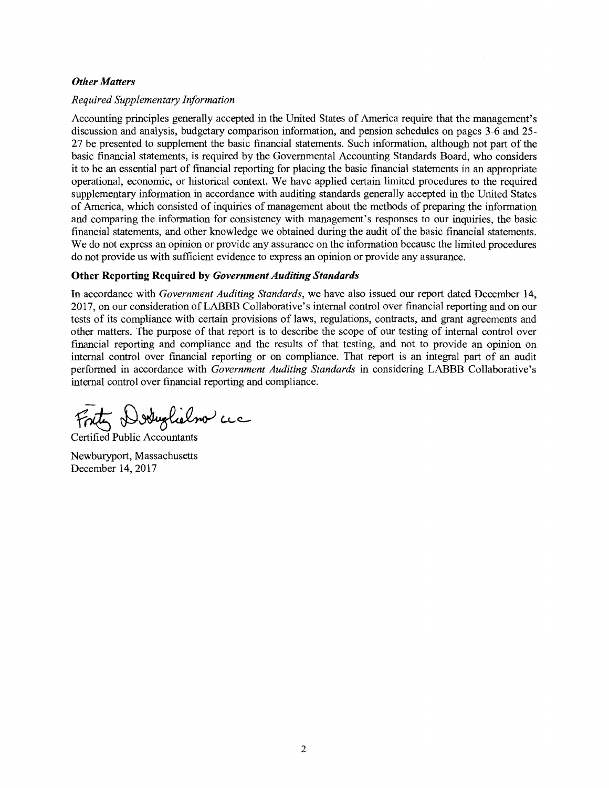#### *Other Matters*

#### *Required Supplementary Information*

Accounting principles generally accepted in the United States of America require that the management's discussion and analysis, budgetary comparison information, and pension schedules on pages 3-6 and 25- 27 be presented to supplement the basic financial statements. Such information, although not part of the basic financial statements, is required by the Governmental Accounting Standards Board, who considers it to be an essential part of financial reporting for placing the basic financial statements in an appropriate operational, economic, or historical context. We have applied certain limited procedures to the required supplementary information in accordance with auditing standards generally accepted in the United States of America, which consisted of inquiries of management about the methods of preparing the information and comparing the information for consistency with management's responses to our inquiries, the basic financial statements, and other knowledge we obtained during the audit of the basic financial statements. We do not express an opinion or provide any assurance on the information because the limited procedures do not provide us with sufficient evidence to express an opinion or provide any assurance.

#### **Other Reporting Required by** *Government Auditing Standards*

In accordance with *Government Auditing Standards,* we have also issued our report dated December 14, 2017, on our consideration of LABBB Collaborative's internal control over financial reporting and on our tests of its compliance with certain provisions of laws, regulations, contracts, and grant agreements and other matters. The purpose of that report is to describe the scope of our testing of internal control over financial reporting and compliance and the results of that testing, and not to provide an opinion on internal control over financial reporting or on compliance. That report is an integral part of an audit performed in accordance with *Government Auditing Standards* in considering LABBB Collaborative's internal control over financial reporting and compliance.

ty Doduglielno acc

Certified Public Accountants

Newburyport, Massachusetts December 14, 2017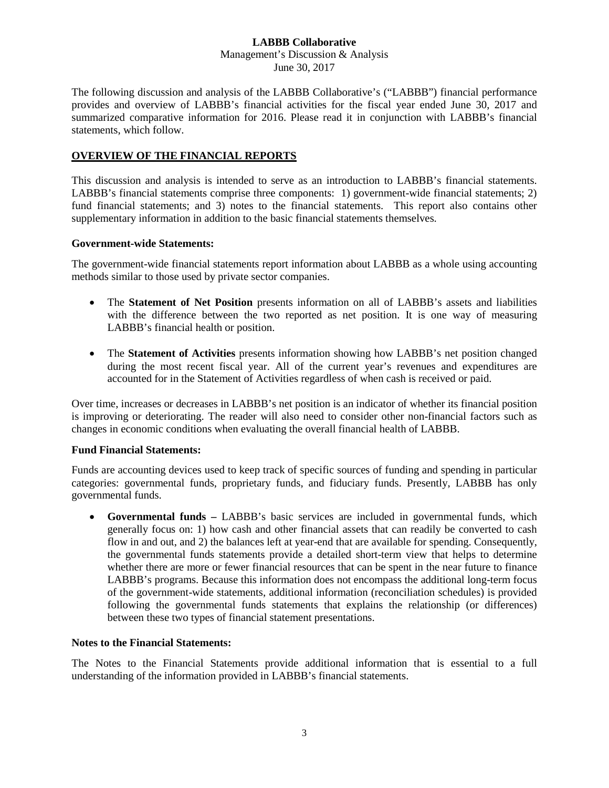The following discussion and analysis of the LABBB Collaborative's ("LABBB") financial performance provides and overview of LABBB's financial activities for the fiscal year ended June 30, 2017 and summarized comparative information for 2016. Please read it in conjunction with LABBB's financial statements, which follow.

# **OVERVIEW OF THE FINANCIAL REPORTS**

This discussion and analysis is intended to serve as an introduction to LABBB's financial statements. LABBB's financial statements comprise three components: 1) government-wide financial statements; 2) fund financial statements; and 3) notes to the financial statements. This report also contains other supplementary information in addition to the basic financial statements themselves.

#### **Government-wide Statements:**

The government-wide financial statements report information about LABBB as a whole using accounting methods similar to those used by private sector companies.

- The **Statement of Net Position** presents information on all of LABBB's assets and liabilities with the difference between the two reported as net position. It is one way of measuring LABBB's financial health or position.
- The **Statement of Activities** presents information showing how LABBB's net position changed during the most recent fiscal year. All of the current year's revenues and expenditures are accounted for in the Statement of Activities regardless of when cash is received or paid.

Over time, increases or decreases in LABBB's net position is an indicator of whether its financial position is improving or deteriorating. The reader will also need to consider other non-financial factors such as changes in economic conditions when evaluating the overall financial health of LABBB.

### **Fund Financial Statements:**

Funds are accounting devices used to keep track of specific sources of funding and spending in particular categories: governmental funds, proprietary funds, and fiduciary funds. Presently, LABBB has only governmental funds.

• **Governmental funds –** LABBB's basic services are included in governmental funds, which generally focus on: 1) how cash and other financial assets that can readily be converted to cash flow in and out, and 2) the balances left at year-end that are available for spending. Consequently, the governmental funds statements provide a detailed short-term view that helps to determine whether there are more or fewer financial resources that can be spent in the near future to finance LABBB's programs. Because this information does not encompass the additional long-term focus of the government-wide statements, additional information (reconciliation schedules) is provided following the governmental funds statements that explains the relationship (or differences) between these two types of financial statement presentations.

### **Notes to the Financial Statements:**

The Notes to the Financial Statements provide additional information that is essential to a full understanding of the information provided in LABBB's financial statements.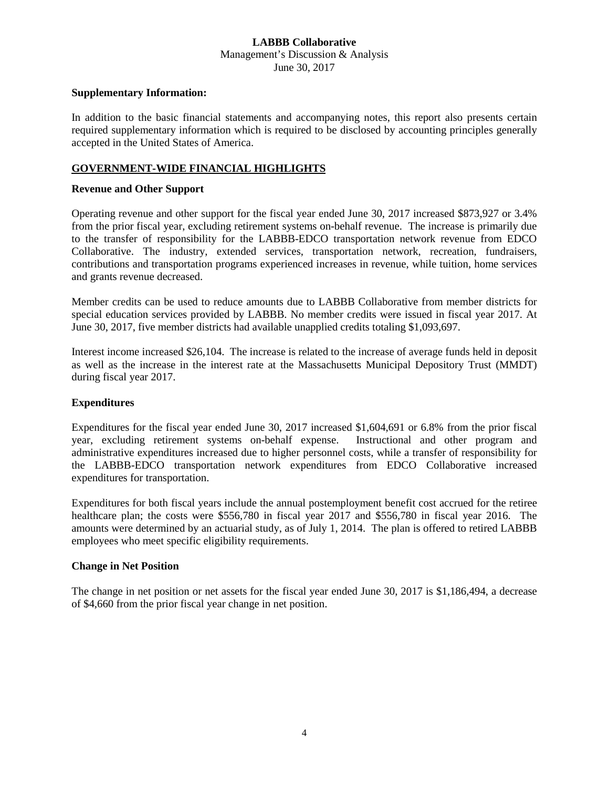#### **Supplementary Information:**

In addition to the basic financial statements and accompanying notes, this report also presents certain required supplementary information which is required to be disclosed by accounting principles generally accepted in the United States of America.

#### **GOVERNMENT-WIDE FINANCIAL HIGHLIGHTS**

#### **Revenue and Other Support**

Operating revenue and other support for the fiscal year ended June 30, 2017 increased \$873,927 or 3.4% from the prior fiscal year, excluding retirement systems on-behalf revenue. The increase is primarily due to the transfer of responsibility for the LABBB-EDCO transportation network revenue from EDCO Collaborative. The industry, extended services, transportation network, recreation, fundraisers, contributions and transportation programs experienced increases in revenue, while tuition, home services and grants revenue decreased.

Member credits can be used to reduce amounts due to LABBB Collaborative from member districts for special education services provided by LABBB. No member credits were issued in fiscal year 2017. At June 30, 2017, five member districts had available unapplied credits totaling \$1,093,697.

Interest income increased \$26,104. The increase is related to the increase of average funds held in deposit as well as the increase in the interest rate at the Massachusetts Municipal Depository Trust (MMDT) during fiscal year 2017.

### **Expenditures**

Expenditures for the fiscal year ended June 30, 2017 increased \$1,604,691 or 6.8% from the prior fiscal year, excluding retirement systems on-behalf expense. Instructional and other program and administrative expenditures increased due to higher personnel costs, while a transfer of responsibility for the LABBB-EDCO transportation network expenditures from EDCO Collaborative increased expenditures for transportation.

Expenditures for both fiscal years include the annual postemployment benefit cost accrued for the retiree healthcare plan; the costs were \$556,780 in fiscal year 2017 and \$556,780 in fiscal year 2016. The amounts were determined by an actuarial study, as of July 1, 2014. The plan is offered to retired LABBB employees who meet specific eligibility requirements.

#### **Change in Net Position**

The change in net position or net assets for the fiscal year ended June 30, 2017 is \$1,186,494, a decrease of \$4,660 from the prior fiscal year change in net position.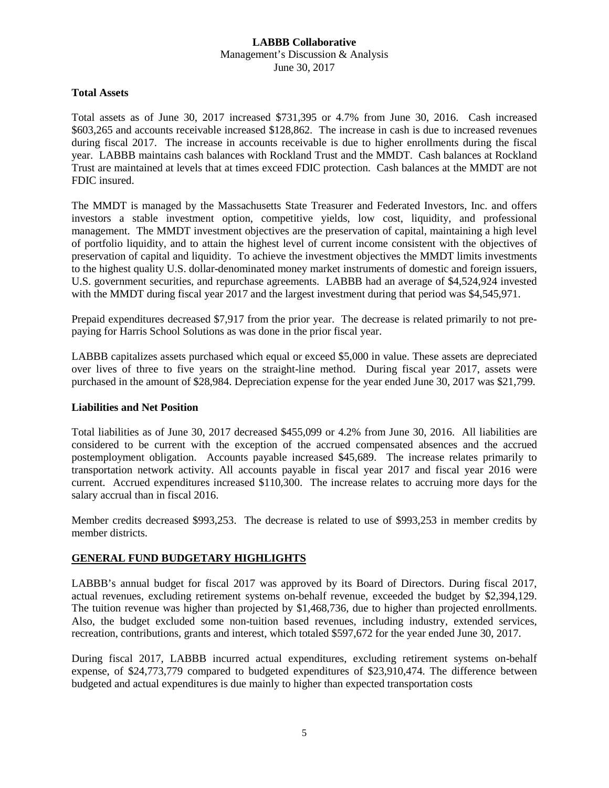#### **Total Assets**

Total assets as of June 30, 2017 increased \$731,395 or 4.7% from June 30, 2016. Cash increased \$603,265 and accounts receivable increased \$128,862. The increase in cash is due to increased revenues during fiscal 2017. The increase in accounts receivable is due to higher enrollments during the fiscal year. LABBB maintains cash balances with Rockland Trust and the MMDT. Cash balances at Rockland Trust are maintained at levels that at times exceed FDIC protection. Cash balances at the MMDT are not FDIC insured.

The MMDT is managed by the Massachusetts State Treasurer and Federated Investors, Inc. and offers investors a stable investment option, competitive yields, low cost, liquidity, and professional management. The MMDT investment objectives are the preservation of capital, maintaining a high level of portfolio liquidity, and to attain the highest level of current income consistent with the objectives of preservation of capital and liquidity. To achieve the investment objectives the MMDT limits investments to the highest quality U.S. dollar-denominated money market instruments of domestic and foreign issuers, U.S. government securities, and repurchase agreements. LABBB had an average of \$4,524,924 invested with the MMDT during fiscal year 2017 and the largest investment during that period was \$4,545,971.

Prepaid expenditures decreased \$7,917 from the prior year. The decrease is related primarily to not prepaying for Harris School Solutions as was done in the prior fiscal year.

LABBB capitalizes assets purchased which equal or exceed \$5,000 in value. These assets are depreciated over lives of three to five years on the straight-line method. During fiscal year 2017, assets were purchased in the amount of \$28,984. Depreciation expense for the year ended June 30, 2017 was \$21,799.

### **Liabilities and Net Position**

Total liabilities as of June 30, 2017 decreased \$455,099 or 4.2% from June 30, 2016. All liabilities are considered to be current with the exception of the accrued compensated absences and the accrued postemployment obligation. Accounts payable increased \$45,689. The increase relates primarily to transportation network activity. All accounts payable in fiscal year 2017 and fiscal year 2016 were current. Accrued expenditures increased \$110,300. The increase relates to accruing more days for the salary accrual than in fiscal 2016.

Member credits decreased \$993,253. The decrease is related to use of \$993,253 in member credits by member districts.

### **GENERAL FUND BUDGETARY HIGHLIGHTS**

LABBB's annual budget for fiscal 2017 was approved by its Board of Directors. During fiscal 2017, actual revenues, excluding retirement systems on-behalf revenue, exceeded the budget by \$2,394,129. The tuition revenue was higher than projected by \$1,468,736, due to higher than projected enrollments. Also, the budget excluded some non-tuition based revenues, including industry, extended services, recreation, contributions, grants and interest, which totaled \$597,672 for the year ended June 30, 2017.

During fiscal 2017, LABBB incurred actual expenditures, excluding retirement systems on-behalf expense, of \$24,773,779 compared to budgeted expenditures of \$23,910,474. The difference between budgeted and actual expenditures is due mainly to higher than expected transportation costs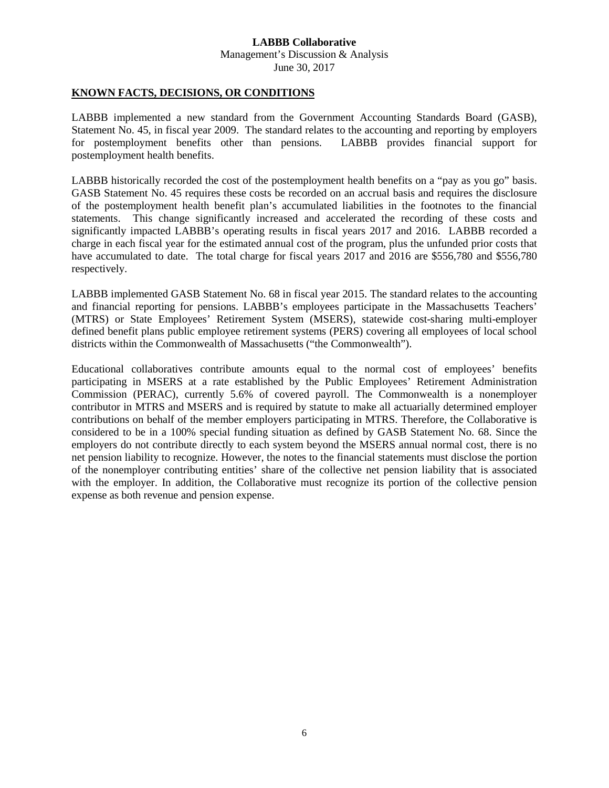#### **KNOWN FACTS, DECISIONS, OR CONDITIONS**

LABBB implemented a new standard from the Government Accounting Standards Board (GASB), Statement No. 45, in fiscal year 2009. The standard relates to the accounting and reporting by employers for postemployment benefits other than pensions. LABBB provides financial support for postemployment health benefits.

LABBB historically recorded the cost of the postemployment health benefits on a "pay as you go" basis. GASB Statement No. 45 requires these costs be recorded on an accrual basis and requires the disclosure of the postemployment health benefit plan's accumulated liabilities in the footnotes to the financial statements. This change significantly increased and accelerated the recording of these costs and significantly impacted LABBB's operating results in fiscal years 2017 and 2016. LABBB recorded a charge in each fiscal year for the estimated annual cost of the program, plus the unfunded prior costs that have accumulated to date. The total charge for fiscal years 2017 and 2016 are \$556,780 and \$556,780 respectively.

LABBB implemented GASB Statement No. 68 in fiscal year 2015. The standard relates to the accounting and financial reporting for pensions. LABBB's employees participate in the Massachusetts Teachers' (MTRS) or State Employees' Retirement System (MSERS), statewide cost-sharing multi-employer defined benefit plans public employee retirement systems (PERS) covering all employees of local school districts within the Commonwealth of Massachusetts ("the Commonwealth").

Educational collaboratives contribute amounts equal to the normal cost of employees' benefits participating in MSERS at a rate established by the Public Employees' Retirement Administration Commission (PERAC), currently 5.6% of covered payroll. The Commonwealth is a nonemployer contributor in MTRS and MSERS and is required by statute to make all actuarially determined employer contributions on behalf of the member employers participating in MTRS. Therefore, the Collaborative is considered to be in a 100% special funding situation as defined by GASB Statement No. 68. Since the employers do not contribute directly to each system beyond the MSERS annual normal cost, there is no net pension liability to recognize. However, the notes to the financial statements must disclose the portion of the nonemployer contributing entities' share of the collective net pension liability that is associated with the employer. In addition, the Collaborative must recognize its portion of the collective pension expense as both revenue and pension expense.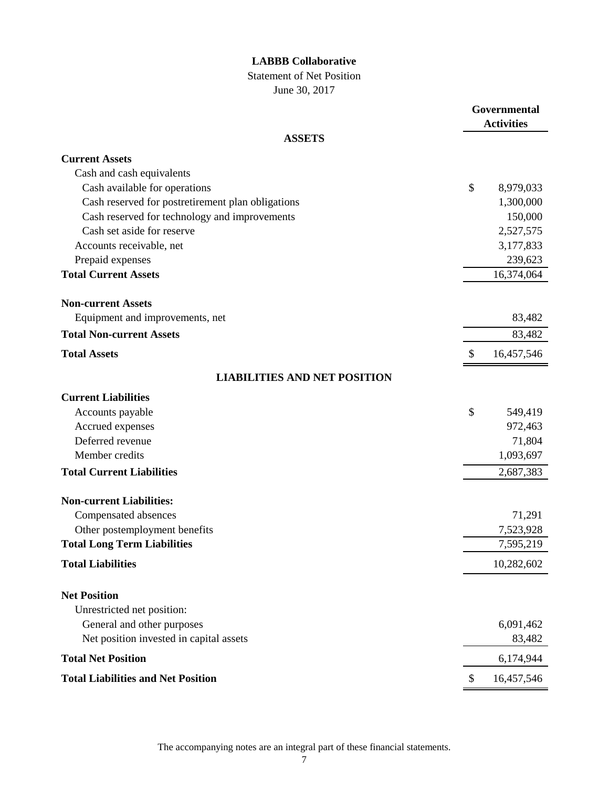Statement of Net Position

June 30, 2017

|                                                   |               | Governmental<br><b>Activities</b> |
|---------------------------------------------------|---------------|-----------------------------------|
| <b>ASSETS</b>                                     |               |                                   |
| <b>Current Assets</b>                             |               |                                   |
| Cash and cash equivalents                         |               |                                   |
| Cash available for operations                     | \$            | 8,979,033                         |
| Cash reserved for postretirement plan obligations |               | 1,300,000                         |
| Cash reserved for technology and improvements     |               | 150,000                           |
| Cash set aside for reserve                        |               | 2,527,575                         |
| Accounts receivable, net                          |               | 3,177,833                         |
| Prepaid expenses                                  |               | 239,623                           |
| <b>Total Current Assets</b>                       |               | 16,374,064                        |
| <b>Non-current Assets</b>                         |               |                                   |
| Equipment and improvements, net                   |               | 83,482                            |
| <b>Total Non-current Assets</b>                   |               | 83,482                            |
| <b>Total Assets</b>                               | \$            | 16,457,546                        |
| <b>LIABILITIES AND NET POSITION</b>               |               |                                   |
| <b>Current Liabilities</b>                        |               |                                   |
| Accounts payable                                  | $\mathcal{S}$ | 549,419                           |
| Accrued expenses                                  |               | 972,463                           |
| Deferred revenue                                  |               | 71,804                            |
| Member credits                                    |               | 1,093,697                         |
| <b>Total Current Liabilities</b>                  |               | 2,687,383                         |
| <b>Non-current Liabilities:</b>                   |               |                                   |
| Compensated absences                              |               | 71,291                            |
| Other postemployment benefits                     |               | 7,523,928                         |
| <b>Total Long Term Liabilities</b>                |               | 7,595,219                         |
| <b>Total Liabilities</b>                          |               | 10,282,602                        |
|                                                   |               |                                   |
| <b>Net Position</b>                               |               |                                   |
| Unrestricted net position:                        |               |                                   |
| General and other purposes                        |               | 6,091,462                         |
| Net position invested in capital assets           |               | 83,482                            |
| <b>Total Net Position</b>                         |               | 6,174,944                         |
| <b>Total Liabilities and Net Position</b>         | \$            | 16,457,546                        |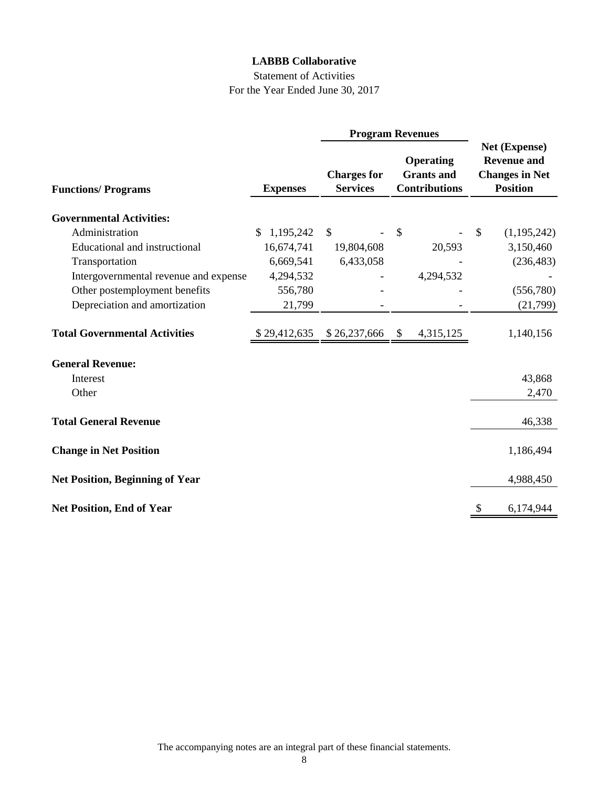# Statement of Activities For the Year Ended June 30, 2017

|                                        |                  |                                       | <b>Program Revenues</b>                                       |               |                                                                                 |
|----------------------------------------|------------------|---------------------------------------|---------------------------------------------------------------|---------------|---------------------------------------------------------------------------------|
| <b>Functions/Programs</b>              | <b>Expenses</b>  | <b>Charges for</b><br><b>Services</b> | <b>Operating</b><br><b>Grants</b> and<br><b>Contributions</b> |               | Net (Expense)<br><b>Revenue and</b><br><b>Changes in Net</b><br><b>Position</b> |
| <b>Governmental Activities:</b>        |                  |                                       |                                                               |               |                                                                                 |
| Administration                         | 1,195,242<br>\$. | $\mathbb{S}$                          | $\mathcal{S}$                                                 | $\mathcal{S}$ | (1,195,242)                                                                     |
| <b>Educational and instructional</b>   | 16,674,741       | 19,804,608                            | 20,593                                                        |               | 3,150,460                                                                       |
| Transportation                         | 6,669,541        | 6,433,058                             |                                                               |               | (236, 483)                                                                      |
| Intergovernmental revenue and expense  | 4,294,532        |                                       | 4,294,532                                                     |               |                                                                                 |
| Other postemployment benefits          | 556,780          |                                       |                                                               |               | (556,780)                                                                       |
| Depreciation and amortization          | 21,799           |                                       |                                                               |               | (21,799)                                                                        |
| <b>Total Governmental Activities</b>   | \$29,412,635     | \$26,237,666                          | 4,315,125<br>\$                                               |               | 1,140,156                                                                       |
| <b>General Revenue:</b>                |                  |                                       |                                                               |               |                                                                                 |
| Interest                               |                  |                                       |                                                               |               | 43,868                                                                          |
| Other                                  |                  |                                       |                                                               |               | 2,470                                                                           |
| <b>Total General Revenue</b>           |                  |                                       |                                                               |               | 46,338                                                                          |
| <b>Change in Net Position</b>          |                  |                                       |                                                               |               | 1,186,494                                                                       |
| <b>Net Position, Beginning of Year</b> |                  |                                       |                                                               |               | 4,988,450                                                                       |
| <b>Net Position, End of Year</b>       |                  |                                       |                                                               |               | 6,174,944                                                                       |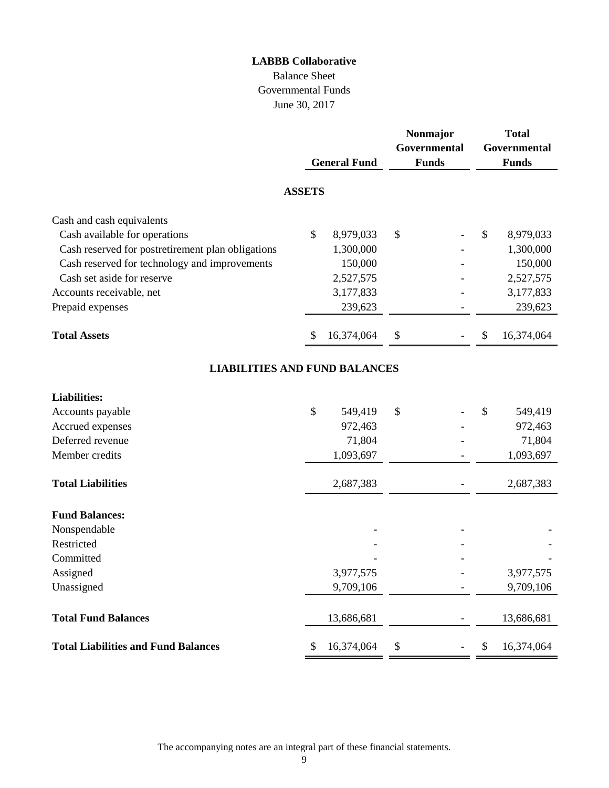# Balance Sheet Governmental Funds June 30, 2017

|                                                   |               | <b>General Fund</b> |      | Nonmajor<br>Governmental<br><b>Funds</b> | <b>Total</b><br>Governmental<br><b>Funds</b> |
|---------------------------------------------------|---------------|---------------------|------|------------------------------------------|----------------------------------------------|
|                                                   | <b>ASSETS</b> |                     |      |                                          |                                              |
| Cash and cash equivalents                         |               |                     |      |                                          |                                              |
| Cash available for operations                     | \$            | 8,979,033           | \$   |                                          | \$<br>8,979,033                              |
| Cash reserved for postretirement plan obligations |               | 1,300,000           |      |                                          | 1,300,000                                    |
| Cash reserved for technology and improvements     |               | 150,000             |      |                                          | 150,000                                      |
| Cash set aside for reserve                        |               | 2,527,575           |      |                                          | 2,527,575                                    |
| Accounts receivable, net                          |               | 3,177,833           |      |                                          | 3,177,833                                    |
| Prepaid expenses                                  |               | 239,623             |      |                                          | 239,623                                      |
| <b>Total Assets</b>                               | S             | 16,374,064          | \$   |                                          | \$<br>16,374,064                             |
| <b>LIABILITIES AND FUND BALANCES</b>              |               |                     |      |                                          |                                              |
| <b>Liabilities:</b>                               |               |                     |      |                                          |                                              |
| Accounts payable                                  | \$            | 549,419             | \$   |                                          | \$<br>549,419                                |
| Accrued expenses                                  |               | 972,463             |      |                                          | 972,463                                      |
| Deferred revenue                                  |               | 71,804              |      |                                          | 71,804                                       |
| Member credits                                    |               | 1,093,697           |      |                                          | 1,093,697                                    |
| <b>Total Liabilities</b>                          |               | 2,687,383           |      |                                          | 2,687,383                                    |
| <b>Fund Balances:</b>                             |               |                     |      |                                          |                                              |
| Nonspendable                                      |               |                     |      |                                          |                                              |
| Restricted                                        |               |                     |      |                                          |                                              |
| Committed                                         |               |                     |      |                                          |                                              |
| Assigned                                          |               | 3,977,575           |      |                                          | 3,977,575                                    |
| Unassigned                                        |               | 9,709,106           |      |                                          | 9,709,106                                    |
| <b>Total Fund Balances</b>                        |               | 13,686,681          |      |                                          | 13,686,681                                   |
| <b>Total Liabilities and Fund Balances</b>        | \$            | 16,374,064          | $\$$ |                                          | \$<br>16,374,064                             |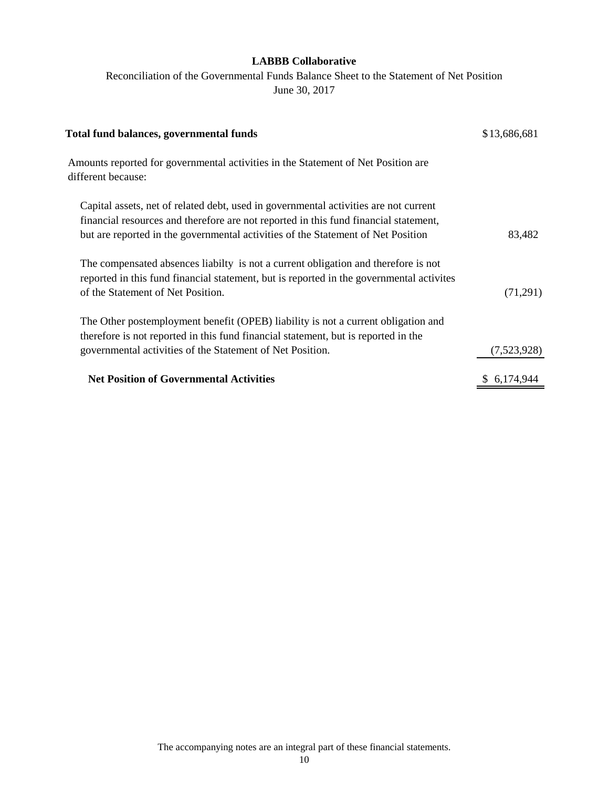Reconciliation of the Governmental Funds Balance Sheet to the Statement of Net Position June 30, 2017

| Total fund balances, governmental funds                                                                                                                                                                                                                          | \$13,686,681 |
|------------------------------------------------------------------------------------------------------------------------------------------------------------------------------------------------------------------------------------------------------------------|--------------|
| Amounts reported for governmental activities in the Statement of Net Position are<br>different because:                                                                                                                                                          |              |
| Capital assets, net of related debt, used in governmental activities are not current<br>financial resources and therefore are not reported in this fund financial statement,<br>but are reported in the governmental activities of the Statement of Net Position | 83,482       |
| The compensated absences liabilty is not a current obligation and therefore is not<br>reported in this fund financial statement, but is reported in the governmental activities<br>of the Statement of Net Position.                                             | (71,291)     |
| The Other postemployment benefit (OPEB) liability is not a current obligation and<br>therefore is not reported in this fund financial statement, but is reported in the<br>governmental activities of the Statement of Net Position.                             | (7,523,928)  |
| <b>Net Position of Governmental Activities</b>                                                                                                                                                                                                                   | \$6,174,944  |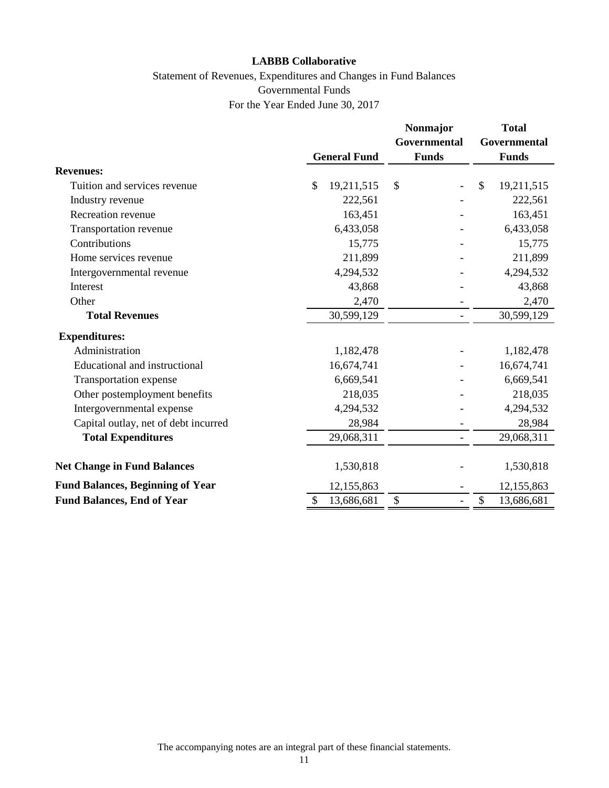# Statement of Revenues, Expenditures and Changes in Fund Balances Governmental Funds For the Year Ended June 30, 2017

|                                         |                     | Nonmajor<br><b>Governmental</b> | <b>Total</b><br>Governmental |
|-----------------------------------------|---------------------|---------------------------------|------------------------------|
|                                         | <b>General Fund</b> | <b>Funds</b>                    | <b>Funds</b>                 |
| <b>Revenues:</b>                        |                     |                                 |                              |
| Tuition and services revenue            | \$<br>19,211,515    | \$                              | $\mathbb{S}$<br>19,211,515   |
| Industry revenue                        | 222,561             |                                 | 222,561                      |
| Recreation revenue                      | 163,451             |                                 | 163,451                      |
| Transportation revenue                  | 6,433,058           |                                 | 6,433,058                    |
| Contributions                           | 15,775              |                                 | 15,775                       |
| Home services revenue                   | 211,899             |                                 | 211,899                      |
| Intergovernmental revenue               | 4,294,532           |                                 | 4,294,532                    |
| Interest                                | 43,868              |                                 | 43,868                       |
| Other                                   | 2,470               |                                 | 2,470                        |
| <b>Total Revenues</b>                   | 30,599,129          |                                 | 30,599,129                   |
| <b>Expenditures:</b>                    |                     |                                 |                              |
| Administration                          | 1,182,478           |                                 | 1,182,478                    |
| Educational and instructional           | 16,674,741          |                                 | 16,674,741                   |
| Transportation expense                  | 6,669,541           |                                 | 6,669,541                    |
| Other postemployment benefits           | 218,035             |                                 | 218,035                      |
| Intergovernmental expense               | 4,294,532           |                                 | 4,294,532                    |
| Capital outlay, net of debt incurred    | 28,984              |                                 | 28,984                       |
| <b>Total Expenditures</b>               | 29,068,311          |                                 | 29,068,311                   |
| <b>Net Change in Fund Balances</b>      | 1,530,818           |                                 | 1,530,818                    |
| <b>Fund Balances, Beginning of Year</b> | 12,155,863          |                                 | 12,155,863                   |
| <b>Fund Balances, End of Year</b>       | 13,686,681          | \$                              | \$<br>13,686,681             |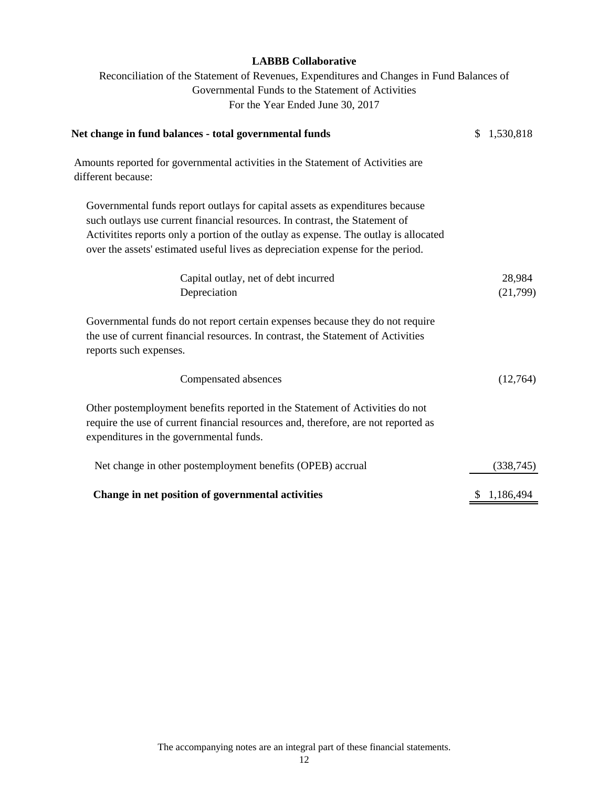Reconciliation of the Statement of Revenues, Expenditures and Changes in Fund Balances of Governmental Funds to the Statement of Activities For the Year Ended June 30, 2017

| Net change in fund balances - total governmental funds                                                                                                                                                                                                                                                                                 | \$1,530,818 |
|----------------------------------------------------------------------------------------------------------------------------------------------------------------------------------------------------------------------------------------------------------------------------------------------------------------------------------------|-------------|
| Amounts reported for governmental activities in the Statement of Activities are<br>different because:                                                                                                                                                                                                                                  |             |
| Governmental funds report outlays for capital assets as expenditures because<br>such outlays use current financial resources. In contrast, the Statement of<br>Activitites reports only a portion of the outlay as expense. The outlay is allocated<br>over the assets' estimated useful lives as depreciation expense for the period. |             |
| Capital outlay, net of debt incurred                                                                                                                                                                                                                                                                                                   | 28,984      |
| Depreciation                                                                                                                                                                                                                                                                                                                           | (21,799)    |
| Governmental funds do not report certain expenses because they do not require<br>the use of current financial resources. In contrast, the Statement of Activities<br>reports such expenses.                                                                                                                                            |             |
| Compensated absences                                                                                                                                                                                                                                                                                                                   | (12,764)    |
| Other postemployment benefits reported in the Statement of Activities do not<br>require the use of current financial resources and, therefore, are not reported as<br>expenditures in the governmental funds.                                                                                                                          |             |
| Net change in other postemployment benefits (OPEB) accrual                                                                                                                                                                                                                                                                             | (338, 745)  |
| Change in net position of governmental activities                                                                                                                                                                                                                                                                                      | \$1,186,494 |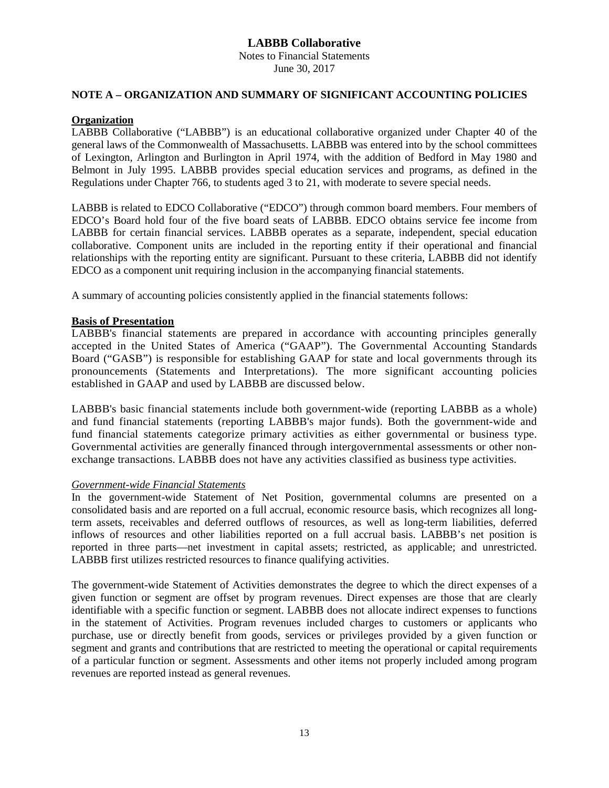Notes to Financial Statements June 30, 2017

### **NOTE A – ORGANIZATION AND SUMMARY OF SIGNIFICANT ACCOUNTING POLICIES**

#### **Organization**

LABBB Collaborative ("LABBB") is an educational collaborative organized under Chapter 40 of the general laws of the Commonwealth of Massachusetts. LABBB was entered into by the school committees of Lexington, Arlington and Burlington in April 1974, with the addition of Bedford in May 1980 and Belmont in July 1995. LABBB provides special education services and programs, as defined in the Regulations under Chapter 766, to students aged 3 to 21, with moderate to severe special needs.

LABBB is related to EDCO Collaborative ("EDCO") through common board members. Four members of EDCO's Board hold four of the five board seats of LABBB. EDCO obtains service fee income from LABBB for certain financial services. LABBB operates as a separate, independent, special education collaborative. Component units are included in the reporting entity if their operational and financial relationships with the reporting entity are significant. Pursuant to these criteria, LABBB did not identify EDCO as a component unit requiring inclusion in the accompanying financial statements.

A summary of accounting policies consistently applied in the financial statements follows:

#### **Basis of Presentation**

LABBB's financial statements are prepared in accordance with accounting principles generally accepted in the United States of America ("GAAP"). The Governmental Accounting Standards Board ("GASB") is responsible for establishing GAAP for state and local governments through its pronouncements (Statements and Interpretations). The more significant accounting policies established in GAAP and used by LABBB are discussed below.

LABBB's basic financial statements include both government-wide (reporting LABBB as a whole) and fund financial statements (reporting LABBB's major funds). Both the government-wide and fund financial statements categorize primary activities as either governmental or business type. Governmental activities are generally financed through intergovernmental assessments or other nonexchange transactions. LABBB does not have any activities classified as business type activities.

#### *Government-wide Financial Statements*

In the government-wide Statement of Net Position, governmental columns are presented on a consolidated basis and are reported on a full accrual, economic resource basis, which recognizes all longterm assets, receivables and deferred outflows of resources, as well as long-term liabilities, deferred inflows of resources and other liabilities reported on a full accrual basis. LABBB's net position is reported in three parts—net investment in capital assets; restricted, as applicable; and unrestricted. LABBB first utilizes restricted resources to finance qualifying activities.

The government-wide Statement of Activities demonstrates the degree to which the direct expenses of a given function or segment are offset by program revenues. Direct expenses are those that are clearly identifiable with a specific function or segment. LABBB does not allocate indirect expenses to functions in the statement of Activities. Program revenues included charges to customers or applicants who purchase, use or directly benefit from goods, services or privileges provided by a given function or segment and grants and contributions that are restricted to meeting the operational or capital requirements of a particular function or segment. Assessments and other items not properly included among program revenues are reported instead as general revenues.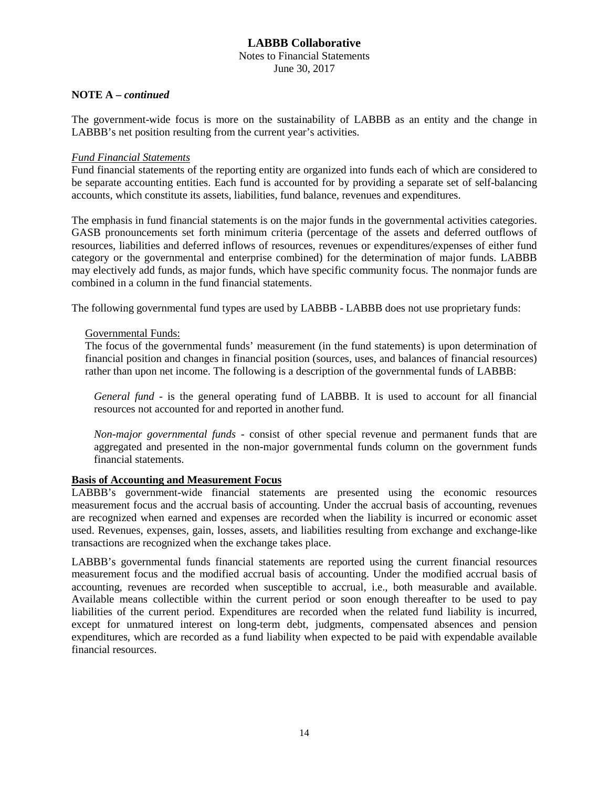Notes to Financial Statements June 30, 2017

#### **NOTE A –** *continued*

The government-wide focus is more on the sustainability of LABBB as an entity and the change in LABBB's net position resulting from the current year's activities.

#### *Fund Financial Statements*

Fund financial statements of the reporting entity are organized into funds each of which are considered to be separate accounting entities. Each fund is accounted for by providing a separate set of self-balancing accounts, which constitute its assets, liabilities, fund balance, revenues and expenditures.

The emphasis in fund financial statements is on the major funds in the governmental activities categories. GASB pronouncements set forth minimum criteria (percentage of the assets and deferred outflows of resources, liabilities and deferred inflows of resources, revenues or expenditures/expenses of either fund category or the governmental and enterprise combined) for the determination of major funds. LABBB may electively add funds, as major funds, which have specific community focus. The nonmajor funds are combined in a column in the fund financial statements.

The following governmental fund types are used by LABBB - LABBB does not use proprietary funds:

#### Governmental Funds:

The focus of the governmental funds' measurement (in the fund statements) is upon determination of financial position and changes in financial position (sources, uses, and balances of financial resources) rather than upon net income. The following is a description of the governmental funds of LABBB:

*General fund* - is the general operating fund of LABBB. It is used to account for all financial resources not accounted for and reported in another fund.

*Non-major governmental funds* - consist of other special revenue and permanent funds that are aggregated and presented in the non-major governmental funds column on the government funds financial statements.

### **Basis of Accounting and Measurement Focus**

LABBB's government-wide financial statements are presented using the economic resources measurement focus and the accrual basis of accounting. Under the accrual basis of accounting, revenues are recognized when earned and expenses are recorded when the liability is incurred or economic asset used. Revenues, expenses, gain, losses, assets, and liabilities resulting from exchange and exchange-like transactions are recognized when the exchange takes place.

LABBB's governmental funds financial statements are reported using the current financial resources measurement focus and the modified accrual basis of accounting. Under the modified accrual basis of accounting, revenues are recorded when susceptible to accrual, i.e., both measurable and available. Available means collectible within the current period or soon enough thereafter to be used to pay liabilities of the current period. Expenditures are recorded when the related fund liability is incurred, except for unmatured interest on long-term debt, judgments, compensated absences and pension expenditures, which are recorded as a fund liability when expected to be paid with expendable available financial resources.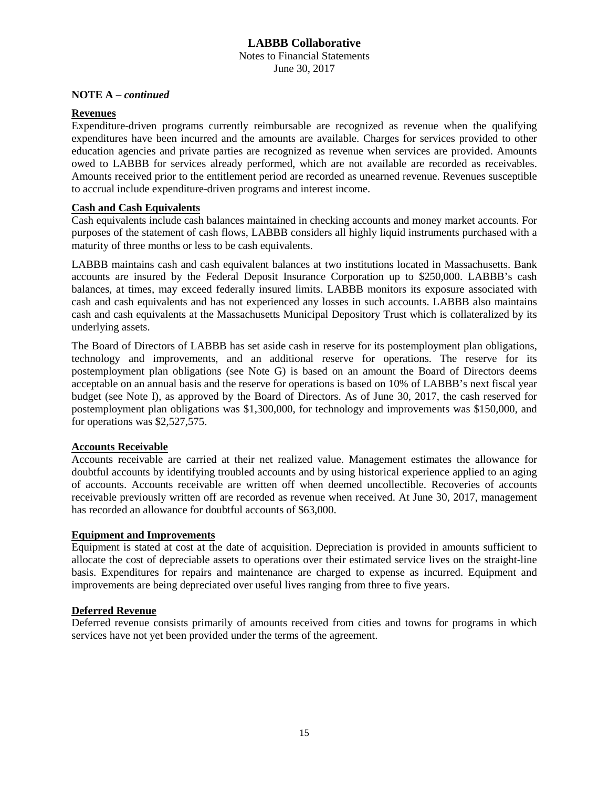#### **LABBB Collaborative** Notes to Financial Statements June 30, 2017

#### **NOTE A –** *continued*

#### **Revenues**

Expenditure-driven programs currently reimbursable are recognized as revenue when the qualifying expenditures have been incurred and the amounts are available. Charges for services provided to other education agencies and private parties are recognized as revenue when services are provided. Amounts owed to LABBB for services already performed, which are not available are recorded as receivables. Amounts received prior to the entitlement period are recorded as unearned revenue. Revenues susceptible to accrual include expenditure-driven programs and interest income.

#### **Cash and Cash Equivalents**

Cash equivalents include cash balances maintained in checking accounts and money market accounts. For purposes of the statement of cash flows, LABBB considers all highly liquid instruments purchased with a maturity of three months or less to be cash equivalents.

LABBB maintains cash and cash equivalent balances at two institutions located in Massachusetts. Bank accounts are insured by the Federal Deposit Insurance Corporation up to \$250,000. LABBB's cash balances, at times, may exceed federally insured limits. LABBB monitors its exposure associated with cash and cash equivalents and has not experienced any losses in such accounts. LABBB also maintains cash and cash equivalents at the Massachusetts Municipal Depository Trust which is collateralized by its underlying assets.

The Board of Directors of LABBB has set aside cash in reserve for its postemployment plan obligations, technology and improvements, and an additional reserve for operations. The reserve for its postemployment plan obligations (see Note G) is based on an amount the Board of Directors deems acceptable on an annual basis and the reserve for operations is based on 10% of LABBB's next fiscal year budget (see Note I), as approved by the Board of Directors. As of June 30, 2017, the cash reserved for postemployment plan obligations was \$1,300,000, for technology and improvements was \$150,000, and for operations was \$2,527,575.

# **Accounts Receivable**

Accounts receivable are carried at their net realized value. Management estimates the allowance for doubtful accounts by identifying troubled accounts and by using historical experience applied to an aging of accounts. Accounts receivable are written off when deemed uncollectible. Recoveries of accounts receivable previously written off are recorded as revenue when received. At June 30, 2017, management has recorded an allowance for doubtful accounts of \$63,000.

#### **Equipment and Improvements**

Equipment is stated at cost at the date of acquisition. Depreciation is provided in amounts sufficient to allocate the cost of depreciable assets to operations over their estimated service lives on the straight-line basis. Expenditures for repairs and maintenance are charged to expense as incurred. Equipment and improvements are being depreciated over useful lives ranging from three to five years.

### **Deferred Revenue**

Deferred revenue consists primarily of amounts received from cities and towns for programs in which services have not yet been provided under the terms of the agreement.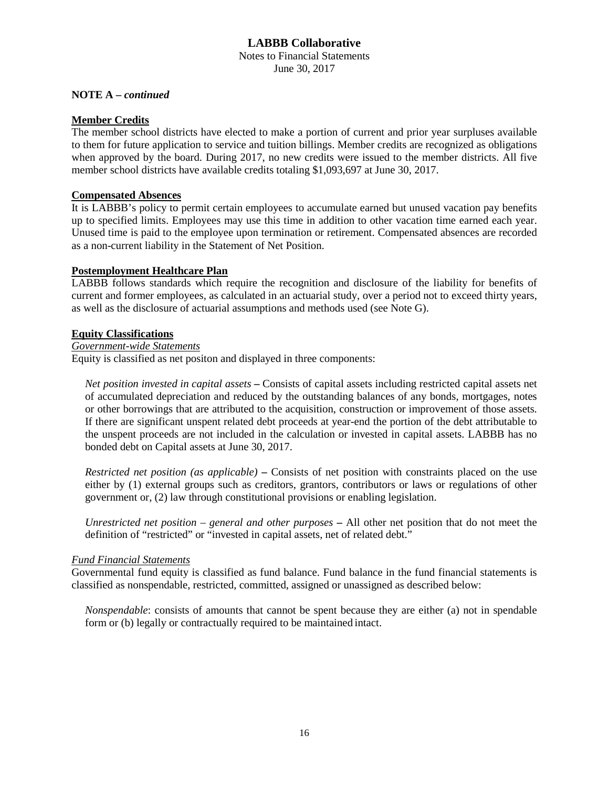Notes to Financial Statements June 30, 2017

#### **NOTE A –** *continued*

#### **Member Credits**

The member school districts have elected to make a portion of current and prior year surpluses available to them for future application to service and tuition billings. Member credits are recognized as obligations when approved by the board. During 2017, no new credits were issued to the member districts. All five member school districts have available credits totaling \$1,093,697 at June 30, 2017.

#### **Compensated Absences**

It is LABBB's policy to permit certain employees to accumulate earned but unused vacation pay benefits up to specified limits. Employees may use this time in addition to other vacation time earned each year. Unused time is paid to the employee upon termination or retirement. Compensated absences are recorded as a non-current liability in the Statement of Net Position.

### **Postemployment Healthcare Plan**

LABBB follows standards which require the recognition and disclosure of the liability for benefits of current and former employees, as calculated in an actuarial study, over a period not to exceed thirty years, as well as the disclosure of actuarial assumptions and methods used (see Note G).

### **Equity Classifications**

# *Government-wide Statements*

Equity is classified as net positon and displayed in three components:

*Net position invested in capital assets* **–** Consists of capital assets including restricted capital assets net of accumulated depreciation and reduced by the outstanding balances of any bonds, mortgages, notes or other borrowings that are attributed to the acquisition, construction or improvement of those assets. If there are significant unspent related debt proceeds at year-end the portion of the debt attributable to the unspent proceeds are not included in the calculation or invested in capital assets. LABBB has no bonded debt on Capital assets at June 30, 2017.

*Restricted net position (as applicable)* **–** Consists of net position with constraints placed on the use either by (1) external groups such as creditors, grantors, contributors or laws or regulations of other government or, (2) law through constitutional provisions or enabling legislation.

*Unrestricted net position – general and other purposes* **–** All other net position that do not meet the definition of "restricted" or "invested in capital assets, net of related debt."

#### *Fund Financial Statements*

Governmental fund equity is classified as fund balance. Fund balance in the fund financial statements is classified as nonspendable, restricted, committed, assigned or unassigned as described below:

*Nonspendable*: consists of amounts that cannot be spent because they are either (a) not in spendable form or (b) legally or contractually required to be maintained intact.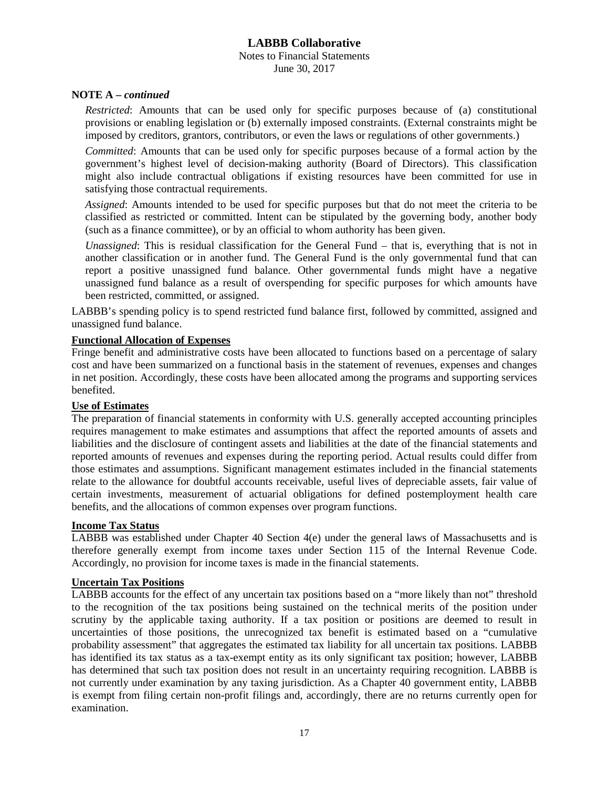#### **LABBB Collaborative** Notes to Financial Statements June 30, 2017

#### **NOTE A –** *continued*

*Restricted*: Amounts that can be used only for specific purposes because of (a) constitutional provisions or enabling legislation or (b) externally imposed constraints. (External constraints might be imposed by creditors, grantors, contributors, or even the laws or regulations of other governments.)

*Committed*: Amounts that can be used only for specific purposes because of a formal action by the government's highest level of decision-making authority (Board of Directors). This classification might also include contractual obligations if existing resources have been committed for use in satisfying those contractual requirements.

*Assigned*: Amounts intended to be used for specific purposes but that do not meet the criteria to be classified as restricted or committed. Intent can be stipulated by the governing body, another body (such as a finance committee), or by an official to whom authority has been given.

*Unassigned*: This is residual classification for the General Fund – that is, everything that is not in another classification or in another fund. The General Fund is the only governmental fund that can report a positive unassigned fund balance. Other governmental funds might have a negative unassigned fund balance as a result of overspending for specific purposes for which amounts have been restricted, committed, or assigned.

LABBB's spending policy is to spend restricted fund balance first, followed by committed, assigned and unassigned fund balance.

#### **Functional Allocation of Expenses**

Fringe benefit and administrative costs have been allocated to functions based on a percentage of salary cost and have been summarized on a functional basis in the statement of revenues, expenses and changes in net position. Accordingly, these costs have been allocated among the programs and supporting services benefited.

### **Use of Estimates**

The preparation of financial statements in conformity with U.S. generally accepted accounting principles requires management to make estimates and assumptions that affect the reported amounts of assets and liabilities and the disclosure of contingent assets and liabilities at the date of the financial statements and reported amounts of revenues and expenses during the reporting period. Actual results could differ from those estimates and assumptions. Significant management estimates included in the financial statements relate to the allowance for doubtful accounts receivable, useful lives of depreciable assets, fair value of certain investments, measurement of actuarial obligations for defined postemployment health care benefits, and the allocations of common expenses over program functions.

#### **Income Tax Status**

LABBB was established under Chapter 40 Section 4(e) under the general laws of Massachusetts and is therefore generally exempt from income taxes under Section 115 of the Internal Revenue Code. Accordingly, no provision for income taxes is made in the financial statements.

#### **Uncertain Tax Positions**

LABBB accounts for the effect of any uncertain tax positions based on a "more likely than not" threshold to the recognition of the tax positions being sustained on the technical merits of the position under scrutiny by the applicable taxing authority. If a tax position or positions are deemed to result in uncertainties of those positions, the unrecognized tax benefit is estimated based on a "cumulative probability assessment" that aggregates the estimated tax liability for all uncertain tax positions. LABBB has identified its tax status as a tax-exempt entity as its only significant tax position; however, LABBB has determined that such tax position does not result in an uncertainty requiring recognition. LABBB is not currently under examination by any taxing jurisdiction. As a Chapter 40 government entity, LABBB is exempt from filing certain non-profit filings and, accordingly, there are no returns currently open for examination.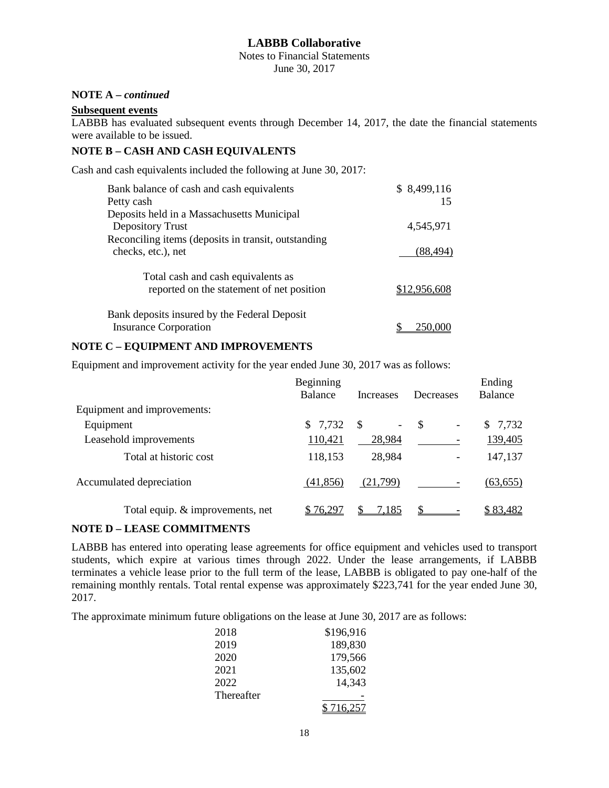Notes to Financial Statements June 30, 2017

# **NOTE A –** *continued*

### **Subsequent events**

LABBB has evaluated subsequent events through December 14, 2017, the date the financial statements were available to be issued.

#### **NOTE B – CASH AND CASH EQUIVALENTS**

Cash and cash equivalents included the following at June 30, 2017:

| Bank balance of cash and cash equivalents<br>Petty cash                         | \$8,499,116<br>15 |
|---------------------------------------------------------------------------------|-------------------|
| Deposits held in a Massachusetts Municipal<br>Depository Trust                  | 4,545,971         |
| Reconciling items (deposits in transit, outstanding<br>checks, etc.), net       | (88, 494)         |
| Total cash and cash equivalents as<br>reported on the statement of net position | \$12.956.608      |
| Bank deposits insured by the Federal Deposit<br><b>Insurance Corporation</b>    |                   |

#### **NOTE C – EQUIPMENT AND IMPROVEMENTS**

Equipment and improvement activity for the year ended June 30, 2017 was as follows:

|                                  | Beginning |                  |                                 | Ending    |
|----------------------------------|-----------|------------------|---------------------------------|-----------|
|                                  | Balance   | <b>Increases</b> | Decreases                       | Balance   |
| Equipment and improvements:      |           |                  |                                 |           |
| Equipment                        | \$7,732   | -\$<br>-         | -\$<br>$\overline{\phantom{a}}$ | \$7,732   |
| Leasehold improvements           | 110,421   | 28,984           |                                 | 139,405   |
| Total at historic cost           | 118,153   | 28,984           |                                 | 147,137   |
| Accumulated depreciation         | (41, 856) | (21,799)         |                                 | (63, 655) |
| Total equip. & improvements, net | \$76297   | 7.185            |                                 | \$83,482  |

### **NOTE D – LEASE COMMITMENTS**

LABBB has entered into operating lease agreements for office equipment and vehicles used to transport students, which expire at various times through 2022. Under the lease arrangements, if LABBB terminates a vehicle lease prior to the full term of the lease, LABBB is obligated to pay one-half of the remaining monthly rentals. Total rental expense was approximately \$223,741 for the year ended June 30, 2017.

The approximate minimum future obligations on the lease at June 30, 2017 are as follows:

| 2018       | \$196,916 |
|------------|-----------|
| 2019       | 189,830   |
| 2020       | 179,566   |
| 2021       | 135,602   |
| 2022       | 14,343    |
| Thereafter |           |
|            | \$716.257 |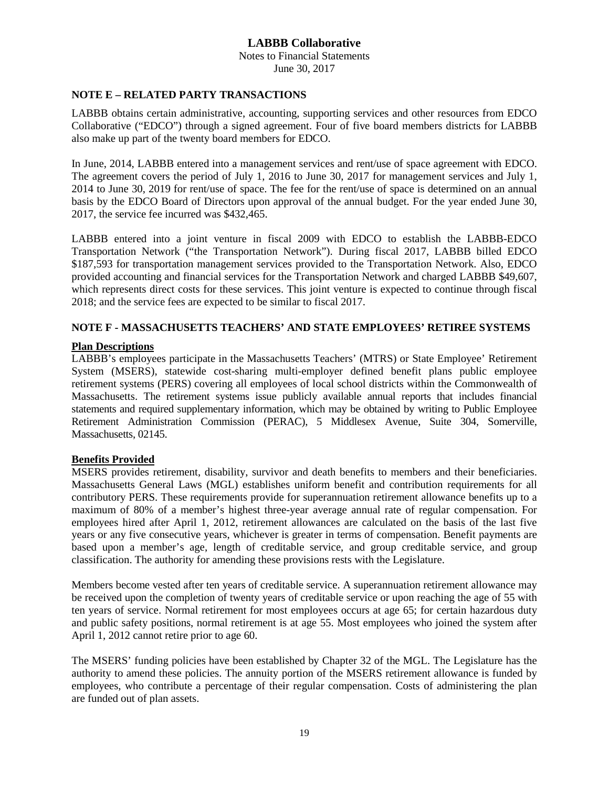Notes to Financial Statements June 30, 2017

#### **NOTE E – RELATED PARTY TRANSACTIONS**

LABBB obtains certain administrative, accounting, supporting services and other resources from EDCO Collaborative ("EDCO") through a signed agreement. Four of five board members districts for LABBB also make up part of the twenty board members for EDCO.

In June, 2014, LABBB entered into a management services and rent/use of space agreement with EDCO. The agreement covers the period of July 1, 2016 to June 30, 2017 for management services and July 1, 2014 to June 30, 2019 for rent/use of space. The fee for the rent/use of space is determined on an annual basis by the EDCO Board of Directors upon approval of the annual budget. For the year ended June 30, 2017, the service fee incurred was \$432,465.

LABBB entered into a joint venture in fiscal 2009 with EDCO to establish the LABBB-EDCO Transportation Network ("the Transportation Network"). During fiscal 2017, LABBB billed EDCO \$187,593 for transportation management services provided to the Transportation Network. Also, EDCO provided accounting and financial services for the Transportation Network and charged LABBB \$49,607, which represents direct costs for these services. This joint venture is expected to continue through fiscal 2018; and the service fees are expected to be similar to fiscal 2017.

## **NOTE F - MASSACHUSETTS TEACHERS' AND STATE EMPLOYEES' RETIREE SYSTEMS**

### **Plan Descriptions**

LABBB's employees participate in the Massachusetts Teachers' (MTRS) or State Employee' Retirement System (MSERS), statewide cost-sharing multi-employer defined benefit plans public employee retirement systems (PERS) covering all employees of local school districts within the Commonwealth of Massachusetts. The retirement systems issue publicly available annual reports that includes financial statements and required supplementary information, which may be obtained by writing to Public Employee Retirement Administration Commission (PERAC), 5 Middlesex Avenue, Suite 304, Somerville, Massachusetts, 02145.

### **Benefits Provided**

MSERS provides retirement, disability, survivor and death benefits to members and their beneficiaries. Massachusetts General Laws (MGL) establishes uniform benefit and contribution requirements for all contributory PERS. These requirements provide for superannuation retirement allowance benefits up to a maximum of 80% of a member's highest three-year average annual rate of regular compensation. For employees hired after April 1, 2012, retirement allowances are calculated on the basis of the last five years or any five consecutive years, whichever is greater in terms of compensation. Benefit payments are based upon a member's age, length of creditable service, and group creditable service, and group classification. The authority for amending these provisions rests with the Legislature.

Members become vested after ten years of creditable service. A superannuation retirement allowance may be received upon the completion of twenty years of creditable service or upon reaching the age of 55 with ten years of service. Normal retirement for most employees occurs at age 65; for certain hazardous duty and public safety positions, normal retirement is at age 55. Most employees who joined the system after April 1, 2012 cannot retire prior to age 60.

The MSERS' funding policies have been established by Chapter 32 of the MGL. The Legislature has the authority to amend these policies. The annuity portion of the MSERS retirement allowance is funded by employees, who contribute a percentage of their regular compensation. Costs of administering the plan are funded out of plan assets.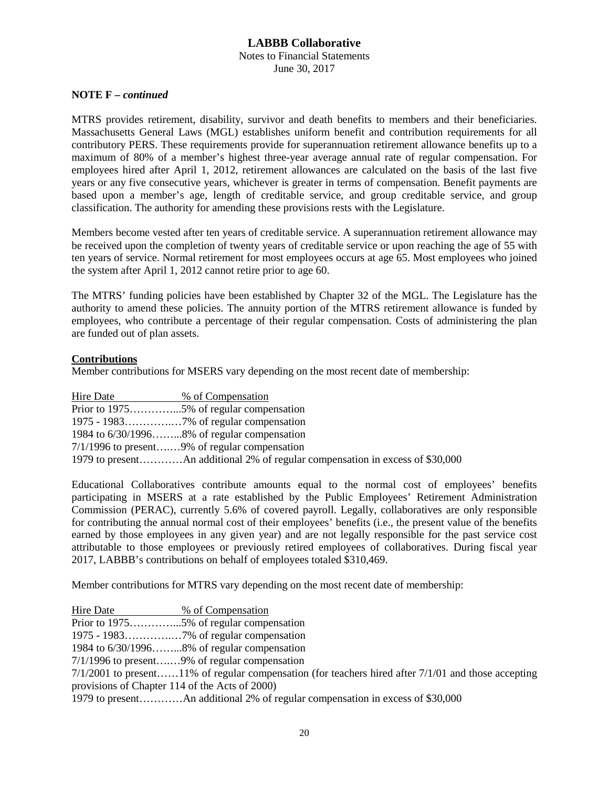Notes to Financial Statements June 30, 2017

#### **NOTE F –** *continued*

MTRS provides retirement, disability, survivor and death benefits to members and their beneficiaries. Massachusetts General Laws (MGL) establishes uniform benefit and contribution requirements for all contributory PERS. These requirements provide for superannuation retirement allowance benefits up to a maximum of 80% of a member's highest three-year average annual rate of regular compensation. For employees hired after April 1, 2012, retirement allowances are calculated on the basis of the last five years or any five consecutive years, whichever is greater in terms of compensation. Benefit payments are based upon a member's age, length of creditable service, and group creditable service, and group classification. The authority for amending these provisions rests with the Legislature.

Members become vested after ten years of creditable service. A superannuation retirement allowance may be received upon the completion of twenty years of creditable service or upon reaching the age of 55 with ten years of service. Normal retirement for most employees occurs at age 65. Most employees who joined the system after April 1, 2012 cannot retire prior to age 60.

The MTRS' funding policies have been established by Chapter 32 of the MGL. The Legislature has the authority to amend these policies. The annuity portion of the MTRS retirement allowance is funded by employees, who contribute a percentage of their regular compensation. Costs of administering the plan are funded out of plan assets.

#### **Contributions**

Member contributions for MSERS vary depending on the most recent date of membership:

| Hire Date | % of Compensation                                                             |
|-----------|-------------------------------------------------------------------------------|
|           |                                                                               |
|           |                                                                               |
|           | 1984 to $6/30/1996$ 8% of regular compensation                                |
|           | $7/1/1996$ to present9% of regular compensation                               |
|           | 1979 to presentAn additional 2% of regular compensation in excess of \$30,000 |

Educational Collaboratives contribute amounts equal to the normal cost of employees' benefits participating in MSERS at a rate established by the Public Employees' Retirement Administration Commission (PERAC), currently 5.6% of covered payroll. Legally, collaboratives are only responsible for contributing the annual normal cost of their employees' benefits (i.e., the present value of the benefits earned by those employees in any given year) and are not legally responsible for the past service cost attributable to those employees or previously retired employees of collaboratives. During fiscal year 2017, LABBB's contributions on behalf of employees totaled \$310,469.

Member contributions for MTRS vary depending on the most recent date of membership:

| Hire Date                                      | % of Compensation                                                                                       |
|------------------------------------------------|---------------------------------------------------------------------------------------------------------|
|                                                |                                                                                                         |
|                                                |                                                                                                         |
|                                                | 1984 to 6/30/19968% of regular compensation                                                             |
|                                                | $7/1/1996$ to present9% of regular compensation                                                         |
|                                                | $7/1/2001$ to present11% of regular compensation (for teachers hired after $7/1/01$ and those accepting |
| provisions of Chapter 114 of the Acts of 2000) |                                                                                                         |
|                                                |                                                                                                         |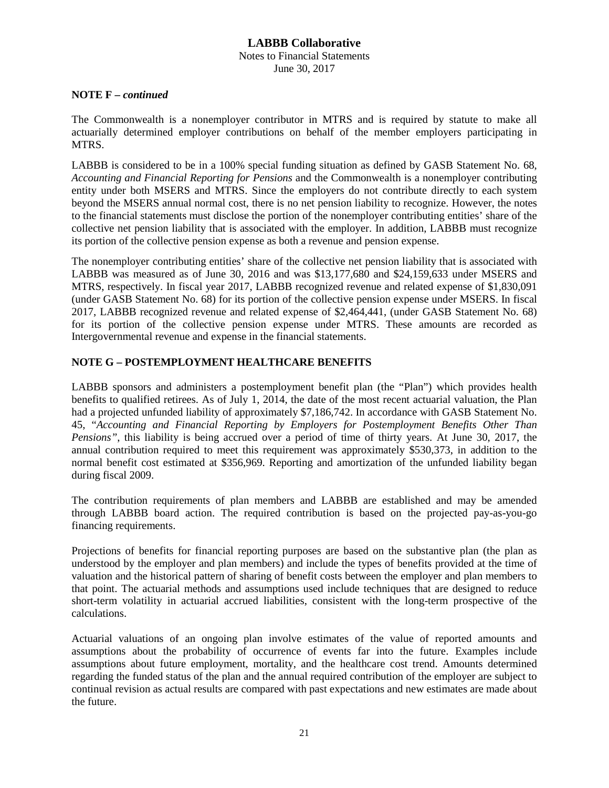Notes to Financial Statements June 30, 2017

### **NOTE F –** *continued*

The Commonwealth is a nonemployer contributor in MTRS and is required by statute to make all actuarially determined employer contributions on behalf of the member employers participating in MTRS.

LABBB is considered to be in a 100% special funding situation as defined by GASB Statement No. 68, *Accounting and Financial Reporting for Pensions* and the Commonwealth is a nonemployer contributing entity under both MSERS and MTRS. Since the employers do not contribute directly to each system beyond the MSERS annual normal cost, there is no net pension liability to recognize. However, the notes to the financial statements must disclose the portion of the nonemployer contributing entities' share of the collective net pension liability that is associated with the employer. In addition, LABBB must recognize its portion of the collective pension expense as both a revenue and pension expense.

The nonemployer contributing entities' share of the collective net pension liability that is associated with LABBB was measured as of June 30, 2016 and was \$13,177,680 and \$24,159,633 under MSERS and MTRS, respectively. In fiscal year 2017, LABBB recognized revenue and related expense of \$1,830,091 (under GASB Statement No. 68) for its portion of the collective pension expense under MSERS. In fiscal 2017, LABBB recognized revenue and related expense of \$2,464,441, (under GASB Statement No. 68) for its portion of the collective pension expense under MTRS. These amounts are recorded as Intergovernmental revenue and expense in the financial statements.

# **NOTE G – POSTEMPLOYMENT HEALTHCARE BENEFITS**

LABBB sponsors and administers a postemployment benefit plan (the "Plan") which provides health benefits to qualified retirees. As of July 1, 2014, the date of the most recent actuarial valuation, the Plan had a projected unfunded liability of approximately \$7,186,742. In accordance with GASB Statement No. 45, "*Accounting and Financial Reporting by Employers for Postemployment Benefits Other Than Pensions"*, this liability is being accrued over a period of time of thirty years. At June 30, 2017, the annual contribution required to meet this requirement was approximately \$530,373, in addition to the normal benefit cost estimated at \$356,969. Reporting and amortization of the unfunded liability began during fiscal 2009.

The contribution requirements of plan members and LABBB are established and may be amended through LABBB board action. The required contribution is based on the projected pay-as-you-go financing requirements.

Projections of benefits for financial reporting purposes are based on the substantive plan (the plan as understood by the employer and plan members) and include the types of benefits provided at the time of valuation and the historical pattern of sharing of benefit costs between the employer and plan members to that point. The actuarial methods and assumptions used include techniques that are designed to reduce short-term volatility in actuarial accrued liabilities, consistent with the long-term prospective of the calculations.

Actuarial valuations of an ongoing plan involve estimates of the value of reported amounts and assumptions about the probability of occurrence of events far into the future. Examples include assumptions about future employment, mortality, and the healthcare cost trend. Amounts determined regarding the funded status of the plan and the annual required contribution of the employer are subject to continual revision as actual results are compared with past expectations and new estimates are made about the future.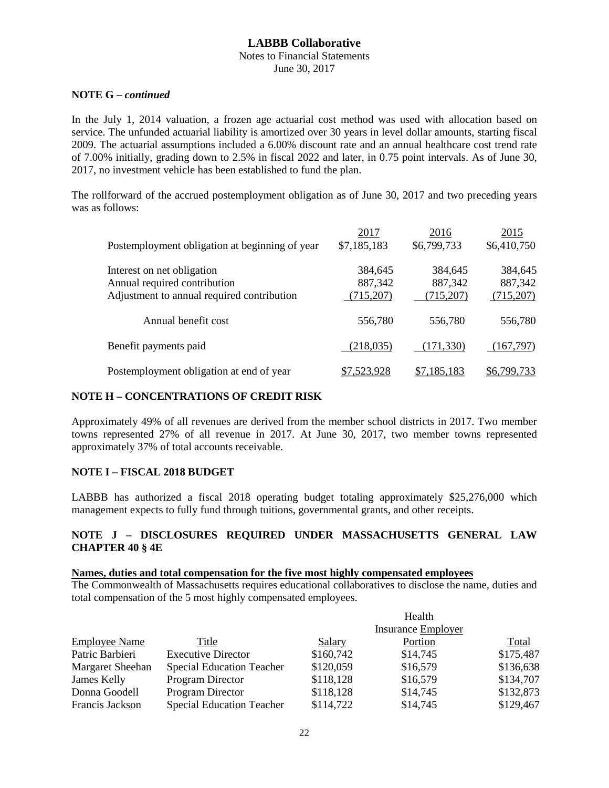#### Notes to Financial Statements June 30, 2017

#### **NOTE G –** *continued*

In the July 1, 2014 valuation, a frozen age actuarial cost method was used with allocation based on service. The unfunded actuarial liability is amortized over 30 years in level dollar amounts, starting fiscal 2009. The actuarial assumptions included a 6.00% discount rate and an annual healthcare cost trend rate of 7.00% initially, grading down to 2.5% in fiscal 2022 and later, in 0.75 point intervals. As of June 30, 2017, no investment vehicle has been established to fund the plan.

The rollforward of the accrued postemployment obligation as of June 30, 2017 and two preceding years was as follows:

|                                                | 2017        | 2016        | 2015        |
|------------------------------------------------|-------------|-------------|-------------|
| Postemployment obligation at beginning of year | \$7,185,183 | \$6,799,733 | \$6,410,750 |
| Interest on net obligation                     | 384,645     | 384,645     | 384,645     |
| Annual required contribution                   | 887,342     | 887,342     | 887,342     |
| Adjustment to annual required contribution     | (715,207)   | (715, 207)  | (715,207)   |
| Annual benefit cost                            | 556,780     | 556,780     | 556,780     |
| Benefit payments paid                          | (218, 035)  | (171, 330)  | (167,797)   |
| Postemployment obligation at end of year       | \$7.523.928 | \$7,185,183 | \$6.799.733 |

#### **NOTE H – CONCENTRATIONS OF CREDIT RISK**

Approximately 49% of all revenues are derived from the member school districts in 2017. Two member towns represented 27% of all revenue in 2017. At June 30, 2017, two member towns represented approximately 37% of total accounts receivable.

### **NOTE I – FISCAL 2018 BUDGET**

LABBB has authorized a fiscal 2018 operating budget totaling approximately \$25,276,000 which management expects to fully fund through tuitions, governmental grants, and other receipts.

### **NOTE J – DISCLOSURES REQUIRED UNDER MASSACHUSETTS GENERAL LAW CHAPTER 40 § 4E**

# **Names, duties and total compensation for the five most highly compensated employees**

The Commonwealth of Massachusetts requires educational collaboratives to disclose the name, duties and total compensation of the 5 most highly compensated employees.

|                      |                                  |                    | Health   |           |
|----------------------|----------------------------------|--------------------|----------|-----------|
|                      |                                  | Insurance Employer |          |           |
| <b>Employee Name</b> | Title                            | Salary             | Portion  | Total     |
| Patric Barbieri      | <b>Executive Director</b>        | \$160,742          | \$14,745 | \$175,487 |
| Margaret Sheehan     | <b>Special Education Teacher</b> | \$120,059          | \$16,579 | \$136,638 |
| James Kelly          | <b>Program Director</b>          | \$118,128          | \$16,579 | \$134,707 |
| Donna Goodell        | <b>Program Director</b>          | \$118,128          | \$14,745 | \$132,873 |
| Francis Jackson      | <b>Special Education Teacher</b> | \$114,722          | \$14,745 | \$129,467 |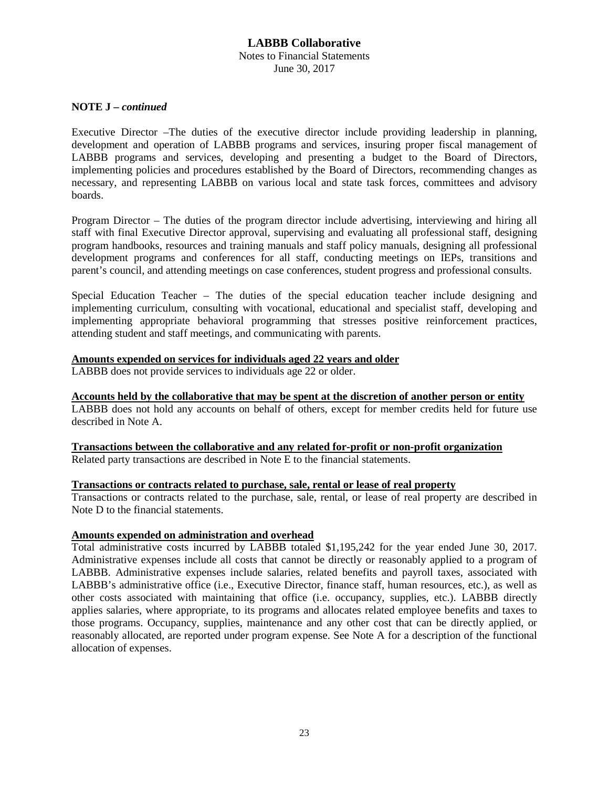#### **LABBB Collaborative** Notes to Financial Statements June 30, 2017

#### **NOTE J –** *continued*

Executive Director –The duties of the executive director include providing leadership in planning, development and operation of LABBB programs and services, insuring proper fiscal management of LABBB programs and services, developing and presenting a budget to the Board of Directors, implementing policies and procedures established by the Board of Directors, recommending changes as necessary, and representing LABBB on various local and state task forces, committees and advisory boards.

Program Director – The duties of the program director include advertising, interviewing and hiring all staff with final Executive Director approval, supervising and evaluating all professional staff, designing program handbooks, resources and training manuals and staff policy manuals, designing all professional development programs and conferences for all staff, conducting meetings on IEPs, transitions and parent's council, and attending meetings on case conferences, student progress and professional consults.

Special Education Teacher – The duties of the special education teacher include designing and implementing curriculum, consulting with vocational, educational and specialist staff, developing and implementing appropriate behavioral programming that stresses positive reinforcement practices, attending student and staff meetings, and communicating with parents.

#### **Amounts expended on services for individuals aged 22 years and older**

LABBB does not provide services to individuals age 22 or older.

#### **Accounts held by the collaborative that may be spent at the discretion of another person or entity**

LABBB does not hold any accounts on behalf of others, except for member credits held for future use described in Note A.

**Transactions between the collaborative and any related for-profit or non-profit organization** Related party transactions are described in Note E to the financial statements.

#### **Transactions or contracts related to purchase, sale, rental or lease of real property**

Transactions or contracts related to the purchase, sale, rental, or lease of real property are described in Note D to the financial statements.

#### **Amounts expended on administration and overhead**

Total administrative costs incurred by LABBB totaled \$1,195,242 for the year ended June 30, 2017. Administrative expenses include all costs that cannot be directly or reasonably applied to a program of LABBB. Administrative expenses include salaries, related benefits and payroll taxes, associated with LABBB's administrative office (i.e., Executive Director, finance staff, human resources, etc.), as well as other costs associated with maintaining that office (i.e. occupancy, supplies, etc.). LABBB directly applies salaries, where appropriate, to its programs and allocates related employee benefits and taxes to those programs. Occupancy, supplies, maintenance and any other cost that can be directly applied, or reasonably allocated, are reported under program expense. See Note A for a description of the functional allocation of expenses.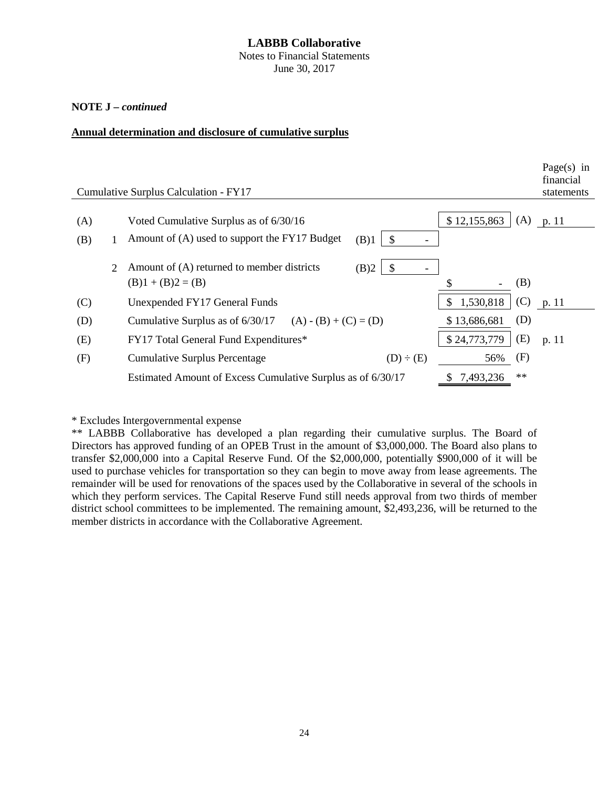Notes to Financial Statements June 30, 2017

### **NOTE J –** *continued*

#### **Annual determination and disclosure of cumulative surplus**

|                             | Cumulative Surplus Calculation - FY17                                 |                                  | Page $(s)$ in<br>financial<br>statements |
|-----------------------------|-----------------------------------------------------------------------|----------------------------------|------------------------------------------|
|                             |                                                                       |                                  |                                          |
| (A)                         | Voted Cumulative Surplus as of 6/30/16                                | (A)<br>\$12,155,863              | p. 11                                    |
| (B)                         | Amount of (A) used to support the FY17 Budget<br>(B)1<br>$\mathbb{S}$ |                                  |                                          |
| $\mathcal{D}_{\mathcal{L}}$ | Amount of (A) returned to member districts<br>(B)2<br>-S              |                                  |                                          |
|                             | $(B)1 + (B)2 = (B)$                                                   | (B)                              |                                          |
| (C)                         | Unexpended FY17 General Funds                                         | 1,530,818<br>$\mathbb{S}$<br>(C) | p. 11                                    |
| (D)                         | Cumulative Surplus as of $6/30/17$ (A) - (B) + (C) = (D)              | (D)<br>\$13,686,681              |                                          |
| (E)                         | FY17 Total General Fund Expenditures*                                 | (E)<br>\$24,773,779              | p. 11                                    |
| (F)                         | <b>Cumulative Surplus Percentage</b><br>$(D) \div (E)$                | (F)<br>56%                       |                                          |
|                             | Estimated Amount of Excess Cumulative Surplus as of 6/30/17           | $**$<br>7,493,236                |                                          |

\* Excludes Intergovernmental expense

\*\* LABBB Collaborative has developed a plan regarding their cumulative surplus. The Board of Directors has approved funding of an OPEB Trust in the amount of \$3,000,000. The Board also plans to transfer \$2,000,000 into a Capital Reserve Fund. Of the \$2,000,000, potentially \$900,000 of it will be used to purchase vehicles for transportation so they can begin to move away from lease agreements. The remainder will be used for renovations of the spaces used by the Collaborative in several of the schools in which they perform services. The Capital Reserve Fund still needs approval from two thirds of member district school committees to be implemented. The remaining amount, \$2,493,236, will be returned to the member districts in accordance with the Collaborative Agreement.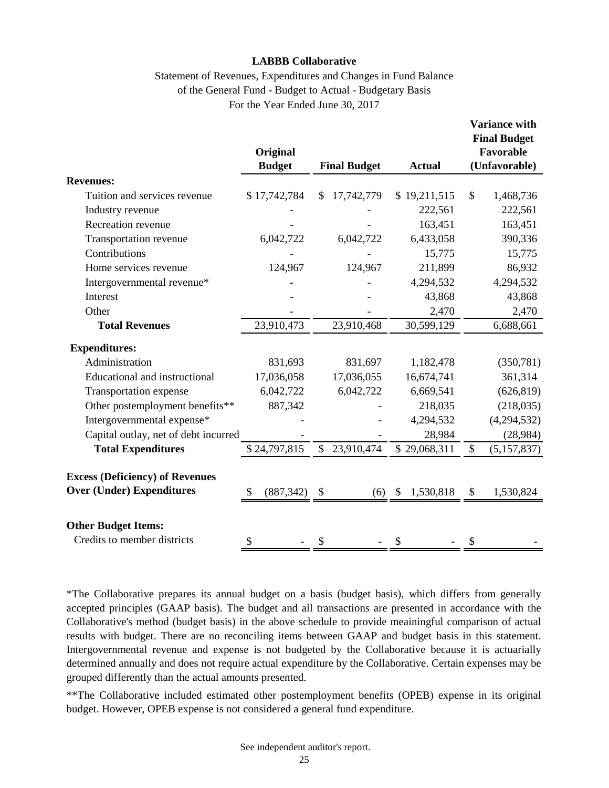# Statement of Revenues, Expenditures and Changes in Fund Balance of the General Fund - Budget to Actual - Budgetary Basis For the Year Ended June 30, 2017

|                                                                            | Original         |                                      |                 | <b>Variance with</b><br><b>Final Budget</b><br>Favorable |  |
|----------------------------------------------------------------------------|------------------|--------------------------------------|-----------------|----------------------------------------------------------|--|
|                                                                            | <b>Budget</b>    | <b>Final Budget</b><br><b>Actual</b> |                 | (Unfavorable)                                            |  |
| <b>Revenues:</b>                                                           |                  |                                      |                 |                                                          |  |
| Tuition and services revenue                                               | \$17,742,784     | 17,742,779<br>\$                     | \$19,211,515    | \$<br>1,468,736                                          |  |
| Industry revenue                                                           |                  |                                      | 222,561         | 222,561                                                  |  |
| Recreation revenue                                                         |                  |                                      | 163,451         | 163,451                                                  |  |
| Transportation revenue                                                     | 6,042,722        | 6,042,722                            | 6,433,058       | 390,336                                                  |  |
| Contributions                                                              |                  |                                      | 15,775          | 15,775                                                   |  |
| Home services revenue                                                      | 124,967          | 124,967                              | 211,899         | 86,932                                                   |  |
| Intergovernmental revenue*                                                 |                  |                                      | 4,294,532       | 4,294,532                                                |  |
| Interest                                                                   |                  |                                      | 43,868          | 43,868                                                   |  |
| Other                                                                      |                  |                                      | 2,470           | 2,470                                                    |  |
| <b>Total Revenues</b>                                                      | 23,910,473       | 23,910,468                           | 30,599,129      | 6,688,661                                                |  |
| <b>Expenditures:</b>                                                       |                  |                                      |                 |                                                          |  |
| Administration                                                             | 831,693          | 831,697                              | 1,182,478       | (350, 781)                                               |  |
| Educational and instructional                                              | 17,036,058       | 17,036,055                           | 16,674,741      | 361,314                                                  |  |
| Transportation expense                                                     | 6,042,722        | 6,042,722                            | 6,669,541       | (626, 819)                                               |  |
| Other postemployment benefits**                                            | 887,342          |                                      | 218,035         | (218, 035)                                               |  |
| Intergovernmental expense*                                                 |                  |                                      | 4,294,532       | (4,294,532)                                              |  |
| Capital outlay, net of debt incurred                                       |                  |                                      | 28,984          | (28, 984)                                                |  |
| <b>Total Expenditures</b>                                                  | \$24,797,815     | \$<br>23,910,474                     | \$29,068,311    | $\mathbb{S}$<br>(5, 157, 837)                            |  |
| <b>Excess (Deficiency) of Revenues</b><br><b>Over (Under) Expenditures</b> | (887, 342)<br>\$ | \$<br>(6)                            | 1,530,818<br>\$ | \$<br>1,530,824                                          |  |
| <b>Other Budget Items:</b><br>Credits to member districts                  | \$               | \$                                   | \$              | \$                                                       |  |

\*The Collaborative prepares its annual budget on a basis (budget basis), which differs from generally accepted principles (GAAP basis). The budget and all transactions are presented in accordance with the Collaborative's method (budget basis) in the above schedule to provide meainingful comparison of actual results with budget. There are no reconciling items between GAAP and budget basis in this statement. Intergovernmental revenue and expense is not budgeted by the Collaborative because it is actuarially determined annually and does not require actual expenditure by the Collaborative. Certain expenses may be grouped differently than the actual amounts presented.

\*\*The Collaborative included estimated other postemployment benefits (OPEB) expense in its original budget. However, OPEB expense is not considered a general fund expenditure.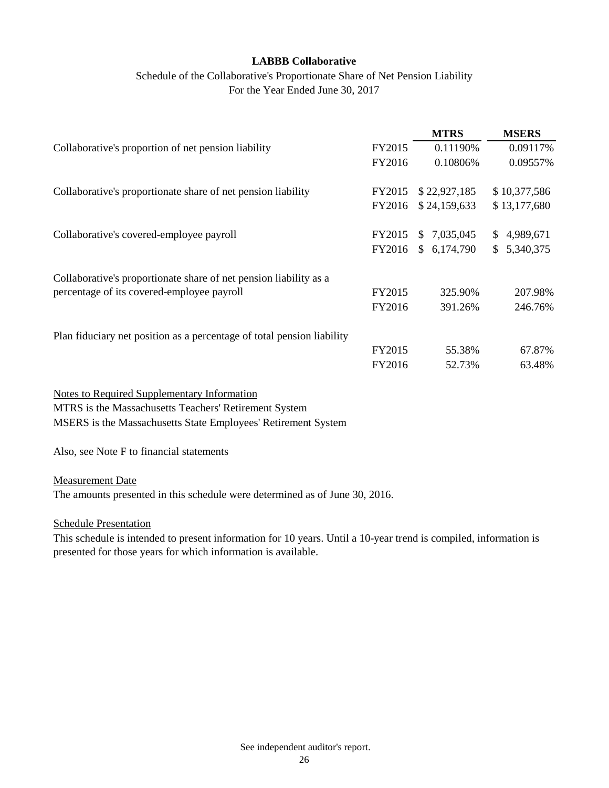# Schedule of the Collaborative's Proportionate Share of Net Pension Liability For the Year Ended June 30, 2017

|                                                                        |        | <b>MTRS</b>                 | <b>MSERS</b> |
|------------------------------------------------------------------------|--------|-----------------------------|--------------|
| Collaborative's proportion of net pension liability                    | FY2015 | 0.11190%                    | 0.09117%     |
|                                                                        | FY2016 | 0.10806%                    | 0.09557%     |
| Collaborative's proportionate share of net pension liability           | FY2015 | \$22,927,185                | \$10,377,586 |
|                                                                        | FY2016 | \$24,159,633                | \$13,177,680 |
| Collaborative's covered-employee payroll                               | FY2015 | 7,035,045<br>$\mathbb{S}^-$ | \$4,989,671  |
|                                                                        | FY2016 | \$6,174,790                 | \$5,340,375  |
| Collaborative's proportionate share of net pension liability as a      |        |                             |              |
| percentage of its covered-employee payroll                             | FY2015 | 325.90%                     | 207.98%      |
|                                                                        | FY2016 | 391.26%                     | 246.76%      |
| Plan fiduciary net position as a percentage of total pension liability |        |                             |              |
|                                                                        | FY2015 | 55.38%                      | 67.87%       |
|                                                                        | FY2016 | 52.73%                      | 63.48%       |
| <b>Notes to Required Supplementary Information</b>                     |        |                             |              |

MTRS is the Massachusetts Teachers' Retirement System MSERS is the Massachusetts State Employees' Retirement System

Also, see Note F to financial statements

Measurement Date

The amounts presented in this schedule were determined as of June 30, 2016.

Schedule Presentation

This schedule is intended to present information for 10 years. Until a 10-year trend is compiled, information is presented for those years for which information is available.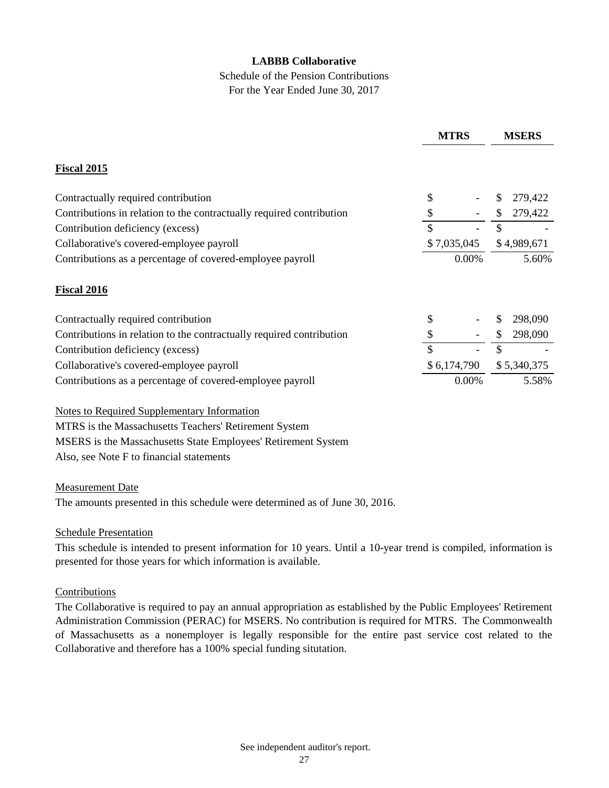# Schedule of the Pension Contributions For the Year Ended June 30, 2017

|                                                                      | <b>MTRS</b> |             | <b>MSERS</b> |             |
|----------------------------------------------------------------------|-------------|-------------|--------------|-------------|
| <b>Fiscal 2015</b>                                                   |             |             |              |             |
| Contractually required contribution                                  | \$          |             | \$           | 279,422     |
| Contributions in relation to the contractually required contribution | \$          |             | \$           | 279,422     |
| Contribution deficiency (excess)                                     | \$          |             | \$           |             |
| Collaborative's covered-employee payroll                             | \$7,035,045 |             | \$4,989,671  |             |
| Contributions as a percentage of covered-employee payroll            | 0.00%       |             | 5.60%        |             |
| <b>Fiscal 2016</b>                                                   |             |             |              |             |
| Contractually required contribution                                  | \$          |             | \$           | 298,090     |
| Contributions in relation to the contractually required contribution | \$          |             | \$           | 298,090     |
| Contribution deficiency (excess)                                     | \$          |             | \$           |             |
| Collaborative's covered-employee payroll                             |             | \$6,174,790 |              | \$5,340,375 |
| Contributions as a percentage of covered-employee payroll            |             | 0.00%       |              | 5.58%       |

Notes to Required Supplementary Information MTRS is the Massachusetts Teachers' Retirement System MSERS is the Massachusetts State Employees' Retirement System Also, see Note F to financial statements

### Measurement Date

The amounts presented in this schedule were determined as of June 30, 2016.

### Schedule Presentation

This schedule is intended to present information for 10 years. Until a 10-year trend is compiled, information is presented for those years for which information is available.

### Contributions

The Collaborative is required to pay an annual appropriation as established by the Public Employees' Retirement Administration Commission (PERAC) for MSERS. No contribution is required for MTRS. The Commonwealth of Massachusetts as a nonemployer is legally responsible for the entire past service cost related to the Collaborative and therefore has a 100% special funding situtation.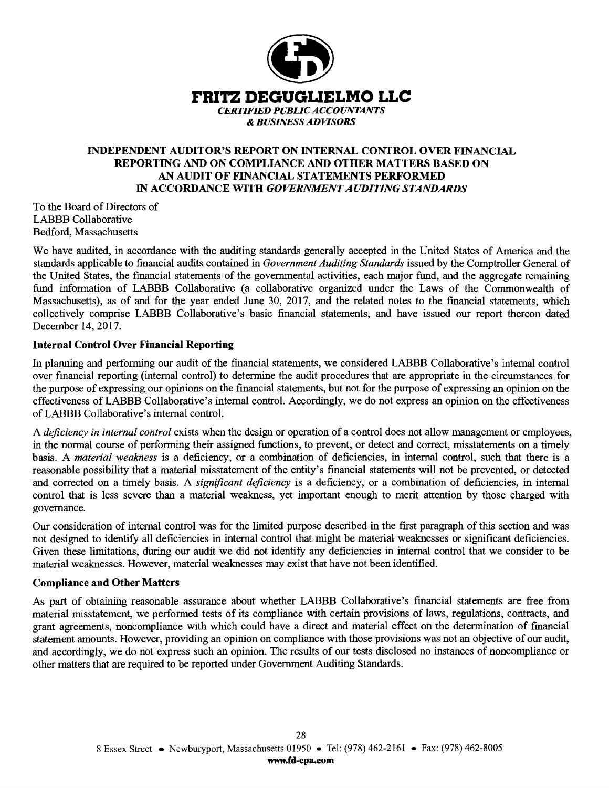

# **INDEPENDENT AUDITOR'S REPORT ON INTERNAL CONTROL OVER FINANCIAL REPORTING AND ON COMPLIANCE AND OTHER MATTERS BASED ON AN AUDIT OF FINANCIAL STATEMENTS PERFORMED**  IN **ACCORDANCE WITH** *GOVERNMENT AUDITING STANDARDS*

To the Board of Directors of LABBB Collaborative Bedford, Massachusetts

We have audited, in accordance with the auditing standards generally accepted in the United States of America and the standards applicable to financial audits contained in *Government Auditing Standards* issued by the Comptroller General of the United States, the financial statements of the governmental activities, each major fund, and the aggregate remaining fund information of LABBB Collaborative (a collaborative organized under the Laws of the Commonwealth of Massachusetts), as of and for the year ended June 30, 2017, and the related notes to the financial statements, which collectively comprise LABBB Collaborative's basic financial statements, and have issued our report thereon dated December 14, 2017.

### **Internal Control Over Financial Reporting**

In planning and performing our audit of the financial statements, we considered LABBB Collaborative's internal control over financial reporting (internal control) to determine the audit procedures that are appropriate in the circumstances for the purpose of expressing our opinions on the financial statements, but not for the purpose of expressing an opinion on the effectiveness of LABBB Collaborative's internal control. Accordingly, we do not express an opinion on the effectiveness of LABBB Collaborative's internal control.

A *deficiency in internal control* exists when the design or operation of a control does not allow management or employees, in the normal course of performing their assigned functions, to prevent, or detect and correct, misstatements on a timely basis. A *material weakness* is a deficiency, or a combination of deficiencies, in internal control, such that there is a reasonable possibility that a material misstatement of the entity's financial statements will not be prevented, or detected and corrected on a timely basis. A *significant deficiency* is a deficiency, or a combination of deficiencies, in internal control that is less severe than a material weakness, yet important enough to merit attention by those charged with governance.

Our consideration of internal control was for the limited purpose described in the first paragraph of this section and was not designed to identify all deficiencies in internal control that might be material weaknesses or significant deficiencies. Given these limitations, during our audit we did not identify any deficiencies in internal control that we consider to be material weaknesses. However, material weaknesses may exist that have not been identified.

### **Compliance and Other Matters**

As part of obtaining reasonable assurance about whether LABBB Collaborative's financial statements are free from material misstatement, we performed tests of its compliance with certain provisions of laws, regulations, contracts, and grant agreements, noncompliance with which could have a direct and material effect on the determination of financial statement amounts. However, providing an opinion on compliance with those provisions was not an objective of our audit, and accordingly, we do not express such an opinion. The results of our tests disclosed no instances of noncompliance or other matters that are required to be reported under Government Auditing Standards.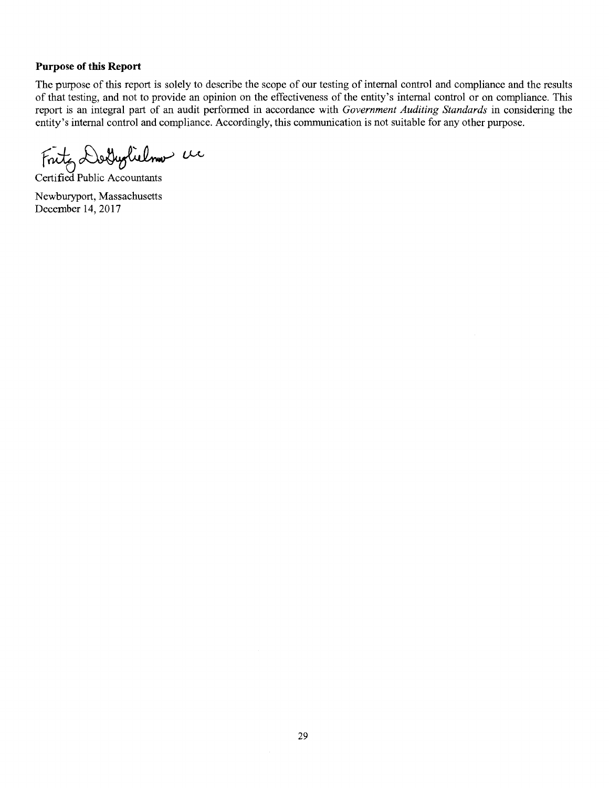#### **Purpose of this Report**

The purpose of this report is solely to describe the scope of our testing of internal control and compliance and the results of that testing, and not to provide an opinion on the effectiveness of the entity's internal control or on compliance. This report is an integral part of an audit performed in accordance with *Government Auditing Standards* in considering the entity's internal control and compliance. Accordingly, this communication is not suitable for any other purpose.

Fritz Dolyolielmo de

Newburyport, Massachusetts December 14, 2017